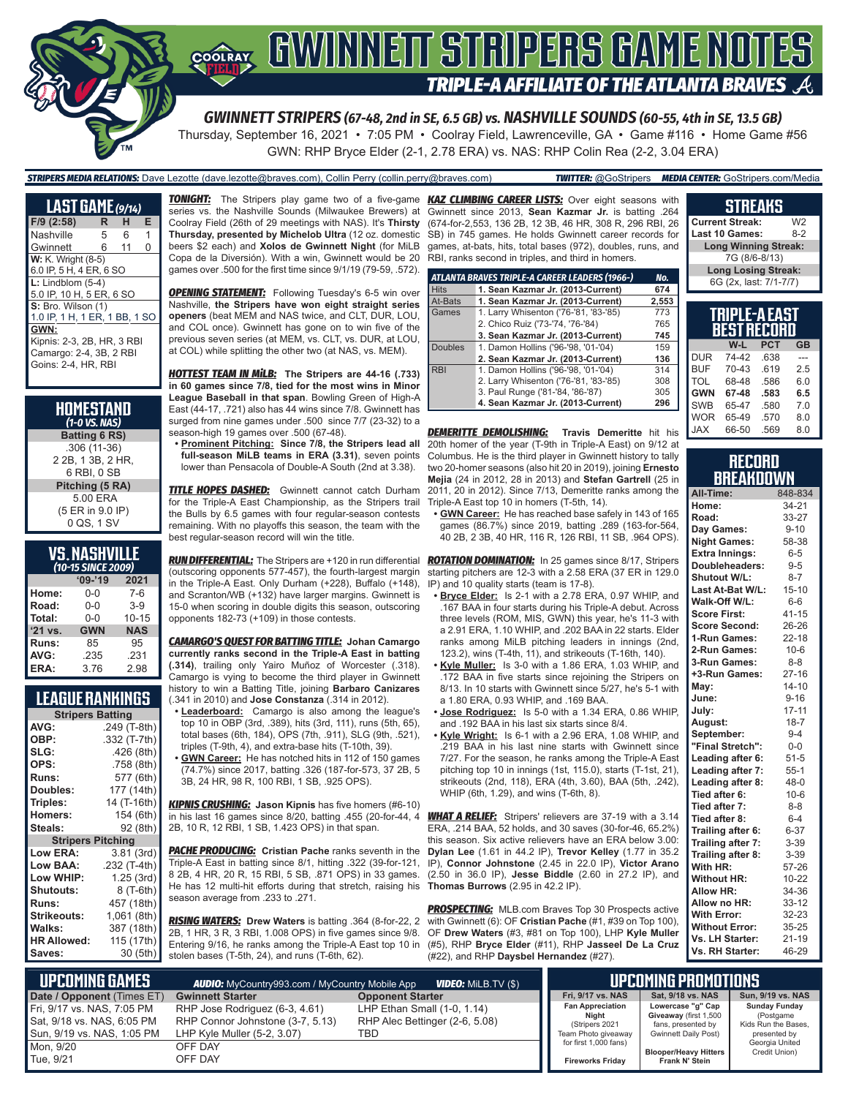

Thursday, September 16, 2021 • 7:05 PM • Coolray Field, Lawrenceville, GA • Game #116 • Home Game #56

*STRIPERS MEDIA RELATIONS:* Dave Lezotte (dave.lezotte@braves.com), Collin Perry (collin.perry@braves.com) *TWITTER:* @GoStripers *MEDIA CENTER:* GoStripers.com/Media

GWN: RHP Bryce Elder (2-1, 2.78 ERA) vs. NAS: RHP Colin Rea (2-2, 3.04 ERA)

| <b>LAST GAME</b> (9/14)       |   |    |   |
|-------------------------------|---|----|---|
| $F/9$ (2:58)                  | R | н  | Е |
| Nashville                     | 5 | 6  | 1 |
| Gwinnett                      | 6 | 11 | O |
| <b>W:</b> K. Wright (8-5)     |   |    |   |
| 6.0 IP, 5 H, 4 ER, 6 SO       |   |    |   |
| $L:$ Lindblom $(5-4)$         |   |    |   |
| 5.0 IP, 10 H, 5 ER, 6 SO      |   |    |   |
| S: Bro. Wilson (1)            |   |    |   |
| 1.0 IP, 1 H, 1 ER, 1 BB, 1 SC |   |    |   |
| GWN:                          |   |    |   |
| Kipnis: 2-3, 2B, HR, 3 RBI    |   |    |   |
| Camargo: 2-4, 3B, 2 RBI       |   |    |   |
| Goins: 2-4, HR, RBI           |   |    |   |

| HOMESTAND<br>$(1-0$ VS. NAS)                      |
|---------------------------------------------------|
| <b>Batting 6 RS)</b>                              |
| $.306(11-36)$<br>2 2B, 1 3B, 2 HR,<br>6 RBI. 0 SB |
| Pitching (5 RA)                                   |
| 5.00 ERA                                          |
| (5 ER in 9.0 IP)                                  |
| 0 QS, 1 SV                                        |

## **VS. NASHVILLE**

|         | (10-15 SINCE 2009) |            |
|---------|--------------------|------------|
|         | $09 - 19$          | 2021       |
| Home:   | 0-0                | $7 - 6$    |
| Road:   | $0 - 0$            | $3-9$      |
| Total:  | $0 - 0$            | $10 - 15$  |
| '21 vs. | <b>GWN</b>         | <b>NAS</b> |
| Runs:   | 85                 | 95         |
| AVG:    | .235               | .231       |
| ERA:    | 3.76               | 2.98       |

## **LEAGUE RANKINGS**

| <b>Stripers Batting</b>  |              |  |  |
|--------------------------|--------------|--|--|
| AVG:                     | .249 (T-8th) |  |  |
| OBP:                     | .332 (T-7th) |  |  |
| SLG:                     | .426 (8th)   |  |  |
| OPS:                     | .758 (8th)   |  |  |
| <b>Runs:</b>             | 577 (6th)    |  |  |
| Doubles:                 | 177 (14th)   |  |  |
| Triples:                 | 14 (T-16th)  |  |  |
| <b>Homers:</b>           | 154 (6th)    |  |  |
| Steals:                  | 92 (8th)     |  |  |
| <b>Stripers Pitching</b> |              |  |  |
| <b>Low ERA:</b>          | 3.81 (3rd)   |  |  |
| Low BAA:                 | .232 (T-4th) |  |  |
| Low WHIP:                | 1.25 (3rd)   |  |  |
| <b>Shutouts:</b>         | 8 (T-6th)    |  |  |
| Runs:                    | 457 (18th)   |  |  |
| <b>Strikeouts:</b>       | 1,061 (8th)  |  |  |
| Walks:                   | 387 (18th)   |  |  |
| <b>HR Allowed:</b>       | 115 (17th)   |  |  |
| Saves:                   | 30 (5th)     |  |  |

*TONIGHT:* The Stripers play game two of a five-game *KAZ CLIMBING CAREER LISTS:* Over eight seasons with series vs. the Nashville Sounds (Milwaukee Brewers) at Coolray Field (26th of 29 meetings with NAS). It's **Thirsty Thursday, presented by Michelob Ultra** (12 oz. domestic beers \$2 each) and **Xolos de Gwinnett Night** (for MiLB Copa de la Diversión). With a win, Gwinnett would be 20 games over .500 for the first time since 9/1/19 (79-59, .572).

**OPENING STATEMENT:** Following Tuesday's 6-5 win over Nashville, **the Stripers have won eight straight series openers** (beat MEM and NAS twice, and CLT, DUR, LOU, and COL once). Gwinnett has gone on to win five of the previous seven series (at MEM, vs. CLT, vs. DUR, at LOU, at COL) while splitting the other two (at NAS, vs. MEM).

*HOTTEST TEAM IN MiLB:* **The Stripers are 44-16 (.733) in 60 games since 7/8, tied for the most wins in Minor League Baseball in that span**. Bowling Green of High-A East (44-17, .721) also has 44 wins since 7/8. Gwinnett has surged from nine games under .500 since 7/7 (23-32) to a season-high 19 games over .500 (67-48).

**• Prominent Pitching: Since 7/8, the Stripers lead all full-season MiLB teams in ERA (3.31)**, seven points lower than Pensacola of Double-A South (2nd at 3.38).

**TITLE HOPES DASHED:** Gwinnett cannot catch Durham for the Triple-A East Championship, as the Stripers trail the Bulls by 6.5 games with four regular-season contests remaining. With no playoffs this season, the team with the best regular-season record will win the title.

*RUN DIFFERENTIAL:* The Stripers are +120 in run differential (outscoring opponents 577-457), the fourth-largest margin in the Triple-A East. Only Durham (+228), Buffalo (+148), and Scranton/WB (+132) have larger margins. Gwinnett is 15-0 when scoring in double digits this season, outscoring opponents 182-73 (+109) in those contests.

*CAMARGO'S QUEST FOR BATTING TITLE:* **Johan Camargo currently ranks second in the Triple-A East in batting (.314)**, trailing only Yairo Muñoz of Worcester (.318). Camargo is vying to become the third player in Gwinnett history to win a Batting Title, joining **Barbaro Canizares** (.341 in 2010) and **Jose Constanza** (.314 in 2012).

- **• Leaderboard:** Camargo is also among the league's top 10 in OBP (3rd, .389), hits (3rd, 111), runs (5th, 65), total bases (6th, 184), OPS (7th, .911), SLG (9th, .521), triples (T-9th, 4), and extra-base hits (T-10th, 39).
- **• GWN Career:** He has notched hits in 112 of 150 games (74.7%) since 2017, batting .326 (187-for-573, 37 2B, 5 3B, 24 HR, 98 R, 100 RBI, 1 SB, .925 OPS).

*KIPNIS CRUSHING:* **Jason Kipnis** has five homers (#6-10) in his last 16 games since 8/20, batting .455 (20-for-44, 4 2B, 10 R, 12 RBI, 1 SB, 1.423 OPS) in that span.

**PACHE PRODUCING:** Cristian Pache ranks seventh in the Triple-A East in batting since 8/1, hitting .322 (39-for-121, 8 2B, 4 HR, 20 R, 15 RBI, 5 SB, .871 OPS) in 33 games. He has 12 multi-hit efforts during that stretch, raising his season average from .233 to .271.

*RISING WATERS:* **Drew Waters** is batting .364 (8-for-22, 2 2B, 1 HR, 3 R, 3 RBI, 1.008 OPS) in five games since 9/8. Entering 9/16, he ranks among the Triple-A East top 10 in stolen bases (T-5th, 24), and runs (T-6th, 62).

Gwinnett since 2013, **Sean Kazmar Jr.** is batting .264 (674-for-2,553, 136 2B, 12 3B, 46 HR, 308 R, 296 RBI, 26 SB) in 745 games. He holds Gwinnett career records for games, at-bats, hits, total bases (972), doubles, runs, and RBI, ranks second in triples, and third in homers.

|                | ATLANTA BRAVES TRIPLE-A CAREER LEADERS (1966-) | No.   |
|----------------|------------------------------------------------|-------|
| <b>Hits</b>    | 1. Sean Kazmar Jr. (2013-Current)              | 674   |
| At-Bats        | 1. Sean Kazmar Jr. (2013-Current)              | 2,553 |
| Games          | 1. Larry Whisenton ('76-'81, '83-'85)          | 773   |
|                | 2. Chico Ruiz ('73-'74, '76-'84)               | 765   |
|                | 3. Sean Kazmar Jr. (2013-Current)              | 745   |
| <b>Doubles</b> | 1. Damon Hollins ('96-'98, '01-'04)            | 159   |
|                | 2. Sean Kazmar Jr. (2013-Current)              | 136   |
| <b>RBI</b>     | 1. Damon Hollins ('96-'98, '01-'04)            | 314   |
|                | 2. Larry Whisenton ('76-'81, '83-'85)          | 308   |
|                | 3. Paul Runge ('81-'84, '86-'87)               | 305   |
|                | 4. Sean Kazmar Jr. (2013-Current)              | 296   |

*DEMERITTE DEMOLISHING:* **Travis Demeritte** hit his 20th homer of the year (T-9th in Triple-A East) on 9/12 at Columbus. He is the third player in Gwinnett history to tally two 20-homer seasons (also hit 20 in 2019), joining **Ernesto Mejia** (24 in 2012, 28 in 2013) and **Stefan Gartrell** (25 in 2011, 20 in 2012). Since 7/13, Demeritte ranks among the Triple-A East top 10 in homers (T-5th, 14).

**• GWN Career:** He has reached base safely in 143 of 165 games (86.7%) since 2019, batting .289 (163-for-564, 40 2B, 2 3B, 40 HR, 116 R, 126 RBI, 11 SB, .964 OPS).

*ROTATION DOMINATION:* In 25 games since 8/17, Stripers starting pitchers are 12-3 with a 2.58 ERA (37 ER in 129.0 IP) and 10 quality starts (team is 17-8).

- **• Bryce Elder:** Is 2-1 with a 2.78 ERA, 0.97 WHIP, and .167 BAA in four starts during his Triple-A debut. Across three levels (ROM, MIS, GWN) this year, he's 11-3 with a 2.91 ERA, 1.10 WHIP, and .202 BAA in 22 starts. Elder ranks among MiLB pitching leaders in innings (2nd, 123.2), wins (T-4th, 11), and strikeouts (T-16th, 140).
- **• Kyle Muller:** Is 3-0 with a 1.86 ERA, 1.03 WHIP, and .172 BAA in five starts since rejoining the Stripers on 8/13. In 10 starts with Gwinnett since 5/27, he's 5-1 with a 1.80 ERA, 0.93 WHIP, and .169 BAA.
- **• Jose Rodriguez:** Is 5-0 with a 1.34 ERA, 0.86 WHIP, and .192 BAA in his last six starts since 8/4.
- **• Kyle Wright:** Is 6-1 with a 2.96 ERA, 1.08 WHIP, and .219 BAA in his last nine starts with Gwinnett since 7/27. For the season, he ranks among the Triple-A East pitching top 10 in innings (1st, 115.0), starts (T-1st, 21), strikeouts (2nd, 118), ERA (4th, 3.60), BAA (5th, .242), WHIP (6th, 1.29), and wins (T-6th, 8).

*WHAT A RELIEF:* Stripers' relievers are 37-19 with a 3.14 ERA, .214 BAA, 52 holds, and 30 saves (30-for-46, 65.2%) this season. Six active relievers have an ERA below 3.00: **Dylan Lee** (1.61 in 44.2 IP), **Trevor Kelley** (1.77 in 35.2 IP), **Connor Johnstone** (2.45 in 22.0 IP), **Victor Arano** (2.50 in 36.0 IP), **Jesse Biddle** (2.60 in 27.2 IP), and **Thomas Burrows** (2.95 in 42.2 IP).

**PROSPECTING:** MLB.com Braves Top 30 Prospects active with Gwinnett (6): OF **Cristian Pache** (#1, #39 on Top 100), OF **Drew Waters** (#3, #81 on Top 100), LHP **Kyle Muller** (#5), RHP **Bryce Elder** (#11), RHP **Jasseel De La Cruz** (#22), and RHP **Daysbel Hernandez** (#27).

#### **TRIPLE-A EAST Current Streak:** W2<br>**Last 10 Games:** 8-2 **Last 10 Games: Long Winning Streak:** 7G (8/6-8/13) **Long Losing Streak:** 6G (2x, last: 7/1-7/7)

**STREAKS**

|            | --<br>Best record |            |           |
|------------|-------------------|------------|-----------|
|            | W-L               | <b>PCT</b> | <b>GB</b> |
| <b>DUR</b> | 74-42             | .638       |           |
| <b>BUF</b> | 70-43             | .619       | 2.5       |
| TOL        | 68-48             | .586       | 6.0       |
| <b>GWN</b> | 67-48             | .583       | 6.5       |
| <b>SWB</b> | 65-47             | .580       | 7.0       |
| <b>WOR</b> | 65-49             | .570       | 8.0       |
| <b>JAX</b> | 66-50             | .569       | 8.0       |

#### **RECORD BREAKDOWN**

| All-Time:             | 848-834   |
|-----------------------|-----------|
| Home:                 | 34-21     |
| Road:                 | 33-27     |
| Day Games:            | $9 - 10$  |
| <b>Night Games:</b>   | 58-38     |
| <b>Extra Innings:</b> | $6 - 5$   |
| Doubleheaders:        | $9 - 5$   |
| <b>Shutout W/L:</b>   | $8 - 7$   |
| Last At-Bat W/L:      | $15 - 10$ |
| Walk-Off W/L:         | $6-6$     |
| <b>Score First:</b>   | $41 - 15$ |
| <b>Score Second:</b>  | 26-26     |
| 1-Run Games:          | $22 - 18$ |
| 2-Run Games:          | $10 - 6$  |
| 3-Run Games:          | $8 - 8$   |
| +3-Run Games:         | $27 - 16$ |
| May:                  | $14 - 10$ |
| June:                 | $9 - 16$  |
| July:                 | $17 - 11$ |
| August:               | $18 - 7$  |
| September:            | $9 - 4$   |
| "Final Stretch":      | $0-0$     |
| Leading after 6:      | $51 - 5$  |
| Leading after 7:      | $55-1$    |
| Leading after 8:      | $48 - 0$  |
| Tied after 6:         | $10-6$    |
| Tied after 7:         | $8 - 8$   |
| Tied after 8:         | $6 - 4$   |
| Trailing after 6:     | $6 - 37$  |
| Trailing after 7:     | 3-39      |
| Trailing after 8:     | $3 - 39$  |
| With HR:              | 57-26     |
| <b>Without HR:</b>    | $10 - 22$ |
| <b>Allow HR:</b>      | 34-36     |
| Allow no HR:          | $33 - 12$ |
| <b>With Error:</b>    | 32-23     |
| <b>Without Error:</b> | 35-25     |
| Vs. LH Starter:       | $21 - 19$ |
| Vs. RH Starter:       | 46-29     |

| <b>UPCOMING GAMES</b>                                     | <b>AUDIO:</b> MyCountry993.com / MyCountry Mobile App              | <b>VIDEO:</b> Milb.TV (\$)                                    |  |                                                    | <b>LIPCOMING PROMOTIONS</b>                                      |
|-----------------------------------------------------------|--------------------------------------------------------------------|---------------------------------------------------------------|--|----------------------------------------------------|------------------------------------------------------------------|
| Date / Opponent (Times ET)                                | <b>Gwinnett Starter</b>                                            | <b>Opponent Starter</b>                                       |  | Fri, 9/17 vs. NAS                                  | Sat, 9/18 vs. NAS                                                |
| Fri, 9/17 vs. NAS, 7:05 PM <br>Sat, 9/18 vs. NAS, 6:05 PM | RHP Jose Rodriguez (6-3, 4.61)<br>RHP Connor Johnstone (3-7, 5.13) | LHP Ethan Small (1-0, 1.14)<br>RHP Alec Bettinger (2-6, 5.08) |  | <b>Fan Appreciation</b><br>Night<br>(Stripers 2021 | Lowercase "g" Cap<br>Giveaway (first 1,500<br>fans, presented by |
| Sun, 9/19 vs. NAS, 1:05 PM<br>Mon, 9/20                   | LHP Kyle Muller (5-2, 3.07)<br>OFF DAY                             | TBD                                                           |  | Team Photo giveaway<br>for first 1,000 fans)       | <b>Gwinnett Daily Post)</b>                                      |
| Tue, 9/21                                                 | OFF DAY                                                            |                                                               |  | <b>Fireworks Fridav</b>                            | <b>Blooper/Heavy Hitters</b><br>Frank N' Stein                   |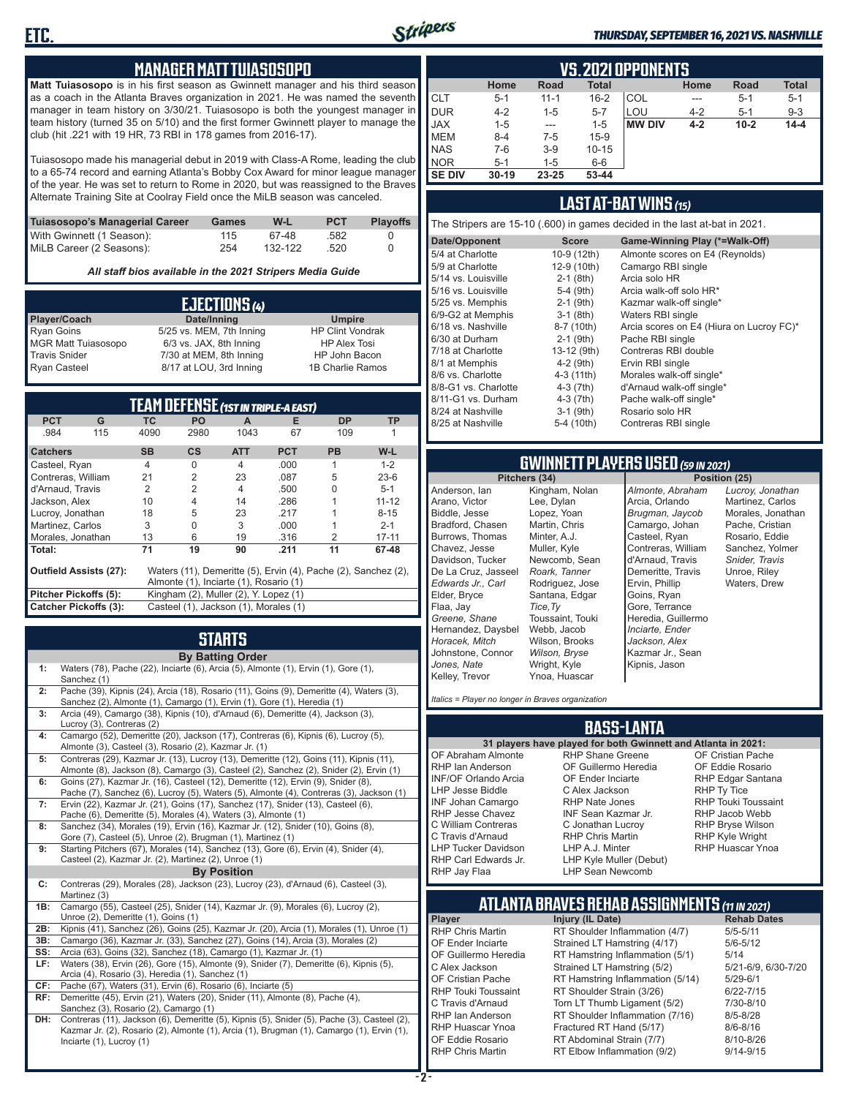

#### *THURSDAY, SEPTEMBER 16, 2021 VS. NASHVILLE*

### **MANAGER MATT TUIASOSOPO**

**Matt Tuiasosopo** is in his first season as Gwinnett manager and his third season as a coach in the Atlanta Braves organization in 2021. He was named the seventh manager in team history on 3/30/21. Tuiasosopo is both the youngest manager in team history (turned 35 on 5/10) and the first former Gwinnett player to manage the club (hit .221 with 19 HR, 73 RBI in 178 games from 2016-17).

Tuiasosopo made his managerial debut in 2019 with Class-A Rome, leading the club to a 65-74 record and earning Atlanta's Bobby Cox Award for minor league manager of the year. He was set to return to Rome in 2020, but was reassigned to the Braves Alternate Training Site at Coolray Field once the MiLB season was canceled.

| Tuiasosopo's Managerial Career | Games | W-L     | <b>PCT</b> | <b>Plavoffs</b> |
|--------------------------------|-------|---------|------------|-----------------|
| With Gwinnett (1 Season):      | 115   | 67-48   | .582       |                 |
| MiLB Career (2 Seasons):       | 254   | 132-122 | .520       |                 |

*All staff bios available in the 2021 Stripers Media Guide*

|                            | EJECTIONS (4)            |                         |
|----------------------------|--------------------------|-------------------------|
| Player/Coach               | Date/Inning              | <b>Umpire</b>           |
| <b>Ryan Goins</b>          | 5/25 vs. MEM, 7th Inning | <b>HP Clint Vondrak</b> |
| <b>MGR Matt Tuiasosopo</b> | 6/3 vs. JAX, 8th Inning  | <b>HP Alex Tosi</b>     |
| <b>Travis Snider</b>       | 7/30 at MEM, 8th Inning  | HP John Bacon           |
| <b>Ryan Casteel</b>        | 8/17 at LOU, 3rd Inning  | 1B Charlie Ramos        |

|                               |     |           | <b>TEAM DEFENSE (1ST IN TRIPLE-A EAST)</b> |            |            |                                                                |           |
|-------------------------------|-----|-----------|--------------------------------------------|------------|------------|----------------------------------------------------------------|-----------|
| <b>PCT</b>                    | G   | <b>TC</b> | <b>PO</b>                                  | A          | Е          | <b>DP</b>                                                      | <b>TP</b> |
| .984                          | 115 | 4090      | 2980                                       | 1043       | 67         | 109                                                            |           |
| <b>Catchers</b>               |     | <b>SB</b> | $\mathsf{cs}$                              | <b>ATT</b> | <b>PCT</b> | <b>PB</b>                                                      | W-L       |
| Casteel, Ryan                 |     | 4         | O                                          | 4          | .000       | 1                                                              | $1 - 2$   |
| Contreras, William            |     | 21        | $\overline{2}$                             | 23         | .087       | 5                                                              | $23-6$    |
| d'Arnaud. Travis              |     | 2         | $\overline{2}$                             | 4          | .500       | O                                                              | $5 - 1$   |
| Jackson, Alex                 |     | 10        | 4                                          | 14         | .286       |                                                                | $11 - 12$ |
| Lucroy, Jonathan              |     | 18        | 5                                          | 23         | .217       |                                                                | $8 - 15$  |
| Martinez, Carlos              |     | 3         | 0                                          | 3          | .000       |                                                                | $2 - 1$   |
| Morales, Jonathan             |     | 13        | 6                                          | 19         | .316       | 2                                                              | $17 - 11$ |
| Total:                        |     | 71        | 19                                         | 90         | .211       | 11                                                             | 67-48     |
| <b>Outfield Assists (27):</b> |     |           |                                            |            |            | Waters (11), Demeritte (5), Ervin (4), Pache (2), Sanchez (2), |           |
|                               |     |           | Almonte (1), Inciarte (1), Rosario (1)     |            |            |                                                                |           |
| Pitcher Pickoffs (5):         |     |           | Kingham (2), Muller (2), Y. Lopez (1)      |            |            |                                                                |           |
| <b>Catcher Pickoffs (3):</b>  |     |           | Casteel (1), Jackson (1), Morales (1)      |            |            |                                                                |           |

# **STARTS**

|     | <b>By Batting Order</b>                                                                                                                                                          |
|-----|----------------------------------------------------------------------------------------------------------------------------------------------------------------------------------|
| 1:  | Waters (78), Pache (22), Inciarte (6), Arcia (5), Almonte (1), Ervin (1), Gore (1),<br>Sanchez (1)                                                                               |
| 2:  | Pache (39), Kipnis (24), Arcia (18), Rosario (11), Goins (9), Demeritte (4), Waters (3),<br>Sanchez (2), Almonte (1), Camargo (1), Ervin (1), Gore (1), Heredia (1)              |
| 3:  | Arcia (49), Camargo (38), Kipnis (10), d'Arnaud (6), Demeritte (4), Jackson (3),<br>Lucroy (3), Contreras (2)                                                                    |
| 4:  | Camargo (52), Demeritte (20), Jackson (17), Contreras (6), Kipnis (6), Lucroy (5),<br>Almonte (3), Casteel (3), Rosario (2), Kazmar Jr. (1)                                      |
| 5:  | Contreras (29), Kazmar Jr. (13), Lucroy (13), Demeritte (12), Goins (11), Kipnis (11),<br>Almonte (8), Jackson (8), Camargo (3), Casteel (2), Sanchez (2), Snider (2), Ervin (1) |
| 6:  | Goins (27), Kazmar Jr. (16), Casteel (12), Demeritte (12), Ervin (9), Snider (8),<br>Pache (7), Sanchez (6), Lucroy (5), Waters (5), Almonte (4), Contreras (3), Jackson (1)     |
| 7:  | Ervin (22), Kazmar Jr. (21), Goins (17), Sanchez (17), Snider (13), Casteel (6),<br>Pache (6), Demeritte (5), Morales (4), Waters (3), Almonte (1)                               |
| 8:  | Sanchez (34), Morales (19), Ervin (16), Kazmar Jr. (12), Snider (10), Goins (8),<br>Gore (7), Casteel (5), Unroe (2), Brugman (1), Martinez (1)                                  |
| 9:  | Starting Pitchers (67), Morales (14), Sanchez (13), Gore (6), Ervin (4), Snider (4),<br>Casteel (2), Kazmar Jr. (2), Martinez (2), Unroe (1)                                     |
|     | <b>By Position</b>                                                                                                                                                               |
| C:  | Contreras (29), Morales (28), Jackson (23), Lucroy (23), d'Arnaud (6), Casteel (3),<br>Martinez (3)                                                                              |
| 1B: | Camargo (55), Casteel (25), Snider (14), Kazmar Jr. (9), Morales (6), Lucroy (2),<br>Unroe (2), Demeritte (1), Goins (1)                                                         |
| 2B: | Kipnis (41), Sanchez (26), Goins (25), Kazmar Jr. (20), Arcia (1), Morales (1), Unroe (1)                                                                                        |
| 3B: | Camargo (36), Kazmar Jr. (33), Sanchez (27), Goins (14), Arcia (3), Morales (2)                                                                                                  |
| SS: | Arcia (63), Goins (32), Sanchez (18), Camargo (1), Kazmar Jr. (1)                                                                                                                |
| LF: | Waters (38), Ervin (26), Gore (15), Almonte (9), Snider (7), Demeritte (6), Kipnis (5),<br>Arcia (4), Rosario (3), Heredia (1), Sanchez (1)                                      |
| CF: | Pache (67), Waters (31), Ervin (6), Rosario (6), Inciarte (5)                                                                                                                    |
| RF: | Demeritte (45), Ervin (21), Waters (20), Snider (11), Almonte (8), Pache (4),<br>Sanchez (3), Rosario (2), Camargo (1)                                                           |
| DH: | Contreras (11), Jackson (6), Demeritte (5), Kipnis (5), Snider (5), Pache (3), Casteel (2)                                                                                       |

**DH:** Contreras (11), Jackson (6), Demeritte (5), Kipnis (5), Snider (5), Pache (3), Casteel (2), Kazmar Jr. (2), Rosario (2), Almonte (1), Arcia (1), Brugman (1), Camargo (1), Ervin (1), Inciarte (1), Lucroy (1)

|               | <b>VS. 2021 OPPONENTS</b> |               |              |               |         |          |              |  |  |  |  |  |  |
|---------------|---------------------------|---------------|--------------|---------------|---------|----------|--------------|--|--|--|--|--|--|
|               | Home                      | Road          | <b>Total</b> |               | Home    | Road     | <b>Total</b> |  |  |  |  |  |  |
| <b>CLT</b>    | $5 - 1$                   | $11 - 1$      | $16 - 2$     | COL           | ---     | $5 - 1$  | $5 - 1$      |  |  |  |  |  |  |
| <b>DUR</b>    | $4 - 2$                   | $1 - 5$       | $5 - 7$      | LOU           | $4 - 2$ | $5 - 1$  | $9 - 3$      |  |  |  |  |  |  |
| <b>JAX</b>    | $1 - 5$                   | $\frac{1}{2}$ | $1 - 5$      | <b>MW DIV</b> | $4 - 2$ | $10 - 2$ | $14 - 4$     |  |  |  |  |  |  |
| <b>MEM</b>    | $8 - 4$                   | $7-5$         | $15-9$       |               |         |          |              |  |  |  |  |  |  |
| <b>NAS</b>    | $7-6$                     | $3-9$         | $10 - 15$    |               |         |          |              |  |  |  |  |  |  |
| <b>NOR</b>    | $5-1$                     | $1 - 5$       | $6-6$        |               |         |          |              |  |  |  |  |  |  |
| <b>SE DIV</b> | $30 - 19$                 | 23-25         | 53-44        |               |         |          |              |  |  |  |  |  |  |

### **LAST AT-BAT WINS** *(15)*

The Stripers are 15-10 (.600) in games decided in the last at-bat in 2021.

| Date/Opponent        | <b>Score</b> | Game-Winning Play (*=Walk-Off)           |
|----------------------|--------------|------------------------------------------|
| 5/4 at Charlotte     | 10-9 (12th)  | Almonte scores on E4 (Reynolds)          |
| 5/9 at Charlotte     | 12-9 (10th)  | Camargo RBI single                       |
| 5/14 vs. Louisville  | $2-1$ (8th)  | Arcia solo HR                            |
| 5/16 vs. Louisville  | $5-4$ (9th)  | Arcia walk-off solo HR*                  |
| 5/25 vs. Memphis     | $2-1$ (9th)  | Kazmar walk-off single*                  |
| 6/9-G2 at Memphis    | $3-1$ (8th)  | Waters RBI single                        |
| 6/18 vs. Nashville   | 8-7 (10th)   | Arcia scores on E4 (Hiura on Lucroy FC)* |
| 6/30 at Durham       | $2-1$ (9th)  | Pache RBI single                         |
| 7/18 at Charlotte    | 13-12 (9th)  | Contreras RBI double                     |
| 8/1 at Memphis       | $4-2$ (9th)  | Ervin RBI single                         |
| 8/6 vs. Charlotte    | $4-3(11th)$  | Morales walk-off single*                 |
| 8/8-G1 vs. Charlotte | $4-3(7th)$   | d'Arnaud walk-off single*                |
| 8/11-G1 vs. Durham   | $4-3(7th)$   | Pache walk-off single*                   |
| 8/24 at Nashville    | $3-1$ (9th)  | Rosario solo HR                          |
| 8/25 at Nashville    | 5-4 (10th)   | Contreras RBI single                     |
|                      |              |                                          |

# **GWINNETT PLAYERS USED** *(59 IN 2021)*

**Pitchers (34)** Anderson, Ian Arano, Victor Biddle, Jesse Bradford, Chasen Burrows, Thomas Chavez, Jesse Davidson, Tucker De La Cruz, Jasseel *Edwards Jr., Carl* Elder, Bryce Flaa, Jay *Greene, Shane*  Hernandez, Daysbel *Horacek, Mitch* Johnstone, Connor *Jones, Nate* Kelley, Trevor Kingham, Nolan Lee, Dylan Lopez, Yoan Martin, Chris Minter, A.J. Muller, Kyle Newcomb, Sean *Roark, Tanner* Rodriguez, Jose Santana, Edgar *Tice,Ty* Toussaint, Touki Webb, Jacob Wilson, Brooks *Wilson, Bryse* Wright, Kyle Ynoa, Huascar

*Almonte, Abraham* Arcia, Orlando *Brugman, Jaycob* Camargo, Johan Casteel, Ryan Contreras, William d'Arnaud, Travis Demeritte, Travis Ervin, Phillip Goins, Ryan Gore, Terrance Heredia, Guillermo *Inciarte, Ender Jackson, Alex* Kazmar Jr., Sean Kipnis, Jason

*Lucroy, Jonathan* Martinez, Carlos Morales, Jonathan Pache, Cristian Rosario, Eddie Sanchez, Yolmer *Snider, Travis* Unroe, Riley Waters, Drew

*Italics = Player no longer in Braves organization*

### **BASS-LANTA**

OF Abraham Almonte RHP Ian Anderson RHP Shane Greene OF Guillermo Heredia OF Ender Inciarte

INF/OF Orlando Arcia LHP Jesse Biddle INF Johan Camargo RHP Jesse Chavez C William Contreras C Travis d'Arnaud LHP Tucker Davidson RHP Carl Edwards Jr. RHP Jay Flaa

**31 players have played for both Gwinnett and Atlanta in 2021:** C Alex Jackson RHP Nate Jones INF Sean Kazmar Jr. C Jonathan Lucroy RHP Chris Martin LHP A.J. Minter LHP Kyle Muller (Debut) LHP Sean Newcomb

OF Cristian Pache OF Eddie Rosario RHP Edgar Santana RHP Ty Tice RHP Touki Toussaint RHP Jacob Webb RHP Bryse Wilson RHP Kyle Wright RHP Huascar Ynoa

# **ATLANTA BRAVES REHAB ASSIGNMENTS** *(11 IN 2021)*

**Player Injury (IL Date)** 

**- 2 -**

RHP Chris Martin RT Shoulder Inflammation (4/7) 5/5-5/11<br>OF Ender Inciarte Strained LT Hamstring (4/17) 5/6-5/12 OF Ender Inciarte Strained LT Hamstring (4/17)<br>OF Guillermo Heredia RT Hamstring Inflammation (5) RT Hamstring Inflammation (5/1) 5/14 C Alex Jackson Strained LT Hamstring (5/2) 5/21-6/9, 6/30-7/20 OF Cristian Pache RT Hamstring Inflammation (5/14) 5/29-6/1<br>RHP Touki Toussaint RT Shoulder Strain (3/26) 6/22-7/15 RHP Touki Toussaint RT Shoulder Strain (3/26) 6/22-7/15<br>C. Travis d'Arnaud C. Torn LT Thumb Ligament (5/2) 6/10-8/10 Torn LT Thumb Ligament (5/2) RHP Ian Anderson RT Shoulder Inflammation (7/16) 8/5-8/28<br>RHP Huascar Ynoa Fractured RT Hand (5/17) 8/6-8/16 RHP Huascar Ynoa Fractured RT Hand (5/17)<br>OF Eddie Rosario RT Abdominal Strain (7/7) RT Abdominal Strain (7/7) 8/10-8/26 RHP Chris Martin **RT Elbow Inflammation (9/2)** 9/14-9/15

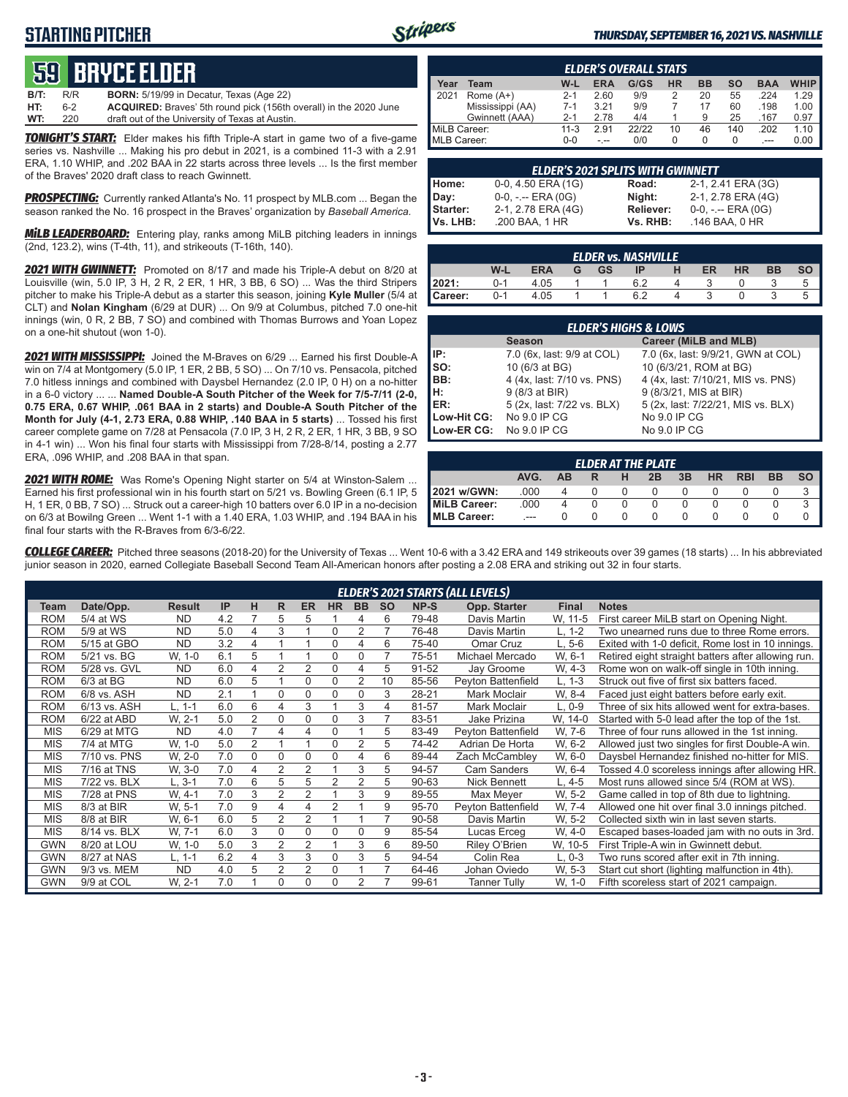## **STARTING PITCHER**



#### *THURSDAY, SEPTEMBER 16, 2021 VS. NASHVILLE*

# **59****bryce elder**

| WT:         | 220 | draft out of the University of Texas at Austin.                          |
|-------------|-----|--------------------------------------------------------------------------|
| HT:         | հ-2 | <b>ACQUIRED:</b> Braves' 5th round pick (156th overall) in the 2020 June |
| <b>B/T:</b> | R/R | <b>BORN:</b> 5/19/99 in Decatur, Texas (Age 22)                          |

*TONIGHT'S START:* Elder makes his fifth Triple-A start in game two of a five-game series vs. Nashville ... Making his pro debut in 2021, is a combined 11-3 with a 2.91 ERA, 1.10 WHIP, and .202 BAA in 22 starts across three levels ... Is the first member of the Braves' 2020 draft class to reach Gwinnett.

*PROSPECTING:* Currently ranked Atlanta's No. 11 prospect by MLB.com ... Began the season ranked the No. 16 prospect in the Braves' organization by *Baseball America.*

*MiLB LEADERBOARD:* Entering play, ranks among MiLB pitching leaders in innings (2nd, 123.2), wins (T-4th, 11), and strikeouts (T-16th, 140).

*2021 WITH GWINNETT:* Promoted on 8/17 and made his Triple-A debut on 8/20 at Louisville (win, 5.0 IP, 3 H, 2 R, 2 ER, 1 HR, 3 BB, 6 SO) ... Was the third Stripers pitcher to make his Triple-A debut as a starter this season, joining **Kyle Muller** (5/4 at CLT) and **Nolan Kingham** (6/29 at DUR) ... On 9/9 at Columbus, pitched 7.0 one-hit innings (win, 0 R, 2 BB, 7 SO) and combined with Thomas Burrows and Yoan Lopez on a one-hit shutout (won 1-0).

*2021 WITH MISSISSIPPI:* Joined the M-Braves on 6/29 ... Earned his first Double-A win on 7/4 at Montgomery (5.0 IP, 1 ER, 2 BB, 5 SO) ... On 7/10 vs. Pensacola, pitched 7.0 hitless innings and combined with Daysbel Hernandez (2.0 IP, 0 H) on a no-hitter in a 6-0 victory ... ... **Named Double-A South Pitcher of the Week for 7/5-7/11 (2-0, 0.75 ERA, 0.67 WHIP, .061 BAA in 2 starts) and Double-A South Pitcher of the Month for July (4-1, 2.73 ERA, 0.88 WHIP, .140 BAA in 5 starts)** ... Tossed his first career complete game on 7/28 at Pensacola (7.0 IP, 3 H, 2 R, 2 ER, 1 HR, 3 BB, 9 SO in 4-1 win) ... Won his final four starts with Mississippi from 7/28-8/14, posting a 2.77 ERA, .096 WHIP, and .208 BAA in that span.

*2021 WITH ROME:* Was Rome's Opening Night starter on 5/4 at Winston-Salem ... Earned his first professional win in his fourth start on 5/21 vs. Bowling Green (6.1 IP, 5 H, 1 ER, 0 BB, 7 SO) ... Struck out a career-high 10 batters over 6.0 IP in a no-decision on 6/3 at Bowilng Green ... Went 1-1 with a 1.40 ERA, 1.03 WHIP, and .194 BAA in his final four starts with the R-Braves from 6/3-6/22.

|                    | <b>ELDER'S OVERALL STATS</b> |          |      |       |    |    |     |            |             |  |  |  |  |
|--------------------|------------------------------|----------|------|-------|----|----|-----|------------|-------------|--|--|--|--|
| Year               | Team                         | W-L      | ERA  | G/GS  | HR | ВB | SΟ  | <b>BAA</b> | <b>WHIP</b> |  |  |  |  |
| 2021               | Rome $(A+)$                  | $2 - 1$  | 2.60 | 9/9   |    | 20 | 55  | 224        | 1.29        |  |  |  |  |
|                    | Mississippi (AA)             | 7-1      | 3.21 | 9/9   |    | 17 | 60  | .198       | 1.00        |  |  |  |  |
|                    | Gwinnett (AAA)               | $2 - 1$  | 2.78 | 4/4   |    | 9  | 25  | .167       | 0.97        |  |  |  |  |
| MiLB Career:       |                              | $11 - 3$ | 2.91 | 22122 | 10 | 46 | 140 | .202       | 1.10        |  |  |  |  |
| <b>MLB Career:</b> |                              | ი-ი      |      | 0/0   |    | 0  | O   | $---$      | 0.00        |  |  |  |  |

|          | <b>ELDER'S 2021 SPLITS WITH GWINNETT</b> |                  |                       |
|----------|------------------------------------------|------------------|-----------------------|
| Home:    | 0-0, 4.50 ERA (1G)                       | Road:            | 2-1, 2.41 ERA (3G)    |
| Day:     | $0-0, - -$ ERA $(0G)$                    | Night:           | 2-1, 2.78 ERA (4G)    |
| Starter: | 2-1, 2.78 ERA (4G)                       | <b>Reliever:</b> | $0-0, - -$ ERA $(0G)$ |
| Vs. LHB: | .200 BAA, 1 HR                           | Vs. RHB:         | .146 BAA, 0 HR        |

| <b>ELDER vs. NASHVILLE</b> |         |            |   |           |     |  |    |           |           |  |  |  |  |
|----------------------------|---------|------------|---|-----------|-----|--|----|-----------|-----------|--|--|--|--|
|                            | W-L     | <b>ERA</b> | G | <b>GS</b> | ΙP  |  | ER | <b>HR</b> | <b>BB</b> |  |  |  |  |
| 2021:                      | $0 - 1$ | 4.05       |   |           | 6.2 |  |    |           |           |  |  |  |  |
| Career:                    | $0 - 1$ | 4.05       |   |           | 6.2 |  |    |           |           |  |  |  |  |

| <b>ELDER'S HIGHS &amp; LOWS</b> |                            |                                    |  |  |  |  |  |  |  |  |  |
|---------------------------------|----------------------------|------------------------------------|--|--|--|--|--|--|--|--|--|
|                                 | <b>Season</b>              | Career (MiLB and MLB)              |  |  |  |  |  |  |  |  |  |
| IP:                             | 7.0 (6x, last: 9/9 at COL) | 7.0 (6x, last: 9/9/21, GWN at COL) |  |  |  |  |  |  |  |  |  |
| $\mathsf{Iso}:$                 | 10 (6/3 at BG)             | 10 (6/3/21, ROM at BG)             |  |  |  |  |  |  |  |  |  |
| BB:                             | 4 (4x, last: 7/10 vs. PNS) | 4 (4x, last: 7/10/21, MIS vs. PNS) |  |  |  |  |  |  |  |  |  |
| H:                              | 9 (8/3 at BIR)             | 9 (8/3/21, MIS at BIR)             |  |  |  |  |  |  |  |  |  |
| IER:                            | 5 (2x, last: 7/22 vs. BLX) | 5 (2x, last: 7/22/21, MIS vs. BLX) |  |  |  |  |  |  |  |  |  |
| Low-Hit CG:                     | No 9.0 IP CG               | No 9.0 IP CG                       |  |  |  |  |  |  |  |  |  |
| Low-ER CG:                      | No 9.0 IP CG               | No 9.0 IP CG                       |  |  |  |  |  |  |  |  |  |

|                                                              | <b>ELDER AT THE PLATE</b> |  |  |  |  |  |  |  |  |  |  |  |  |
|--------------------------------------------------------------|---------------------------|--|--|--|--|--|--|--|--|--|--|--|--|
| <b>BB</b><br>AVG.<br>3B<br><b>RBI</b><br>HR<br>ΔR<br>н<br>2B |                           |  |  |  |  |  |  |  |  |  |  |  |  |
| 2021 w/GWN:                                                  | .000                      |  |  |  |  |  |  |  |  |  |  |  |  |
| MiLB Career:                                                 | .000                      |  |  |  |  |  |  |  |  |  |  |  |  |
| MLB Career:                                                  | ---                       |  |  |  |  |  |  |  |  |  |  |  |  |

*COLLEGE CAREER:* Pitched three seasons (2018-20) for the University of Texas ... Went 10-6 with a 3.42 ERA and 149 strikeouts over 39 games (18 starts) ... In his abbreviated junior season in 2020, earned Collegiate Baseball Second Team All-American honors after posting a 2.08 ERA and striking out 32 in four starts.

|            | <b>ELDER'S 2021 STARTS (ALL LEVELS)</b> |               |     |                |   |                |                |           |           |       |                     |              |                                                    |
|------------|-----------------------------------------|---------------|-----|----------------|---|----------------|----------------|-----------|-----------|-------|---------------------|--------------|----------------------------------------------------|
| Team       | Date/Opp.                               | <b>Result</b> | IP  | н              | R | <b>ER</b>      | <b>HR</b>      | <b>BB</b> | <b>SO</b> | NP-S  | Opp. Starter        | <b>Final</b> | <b>Notes</b>                                       |
| <b>ROM</b> | 5/4 at WS                               | <b>ND</b>     | 4.2 |                | 5 | 5              |                | 4         | 6         | 79-48 | Davis Martin        | W, 11-5      | First career MiLB start on Opening Night.          |
| <b>ROM</b> | 5/9 at WS                               | <b>ND</b>     | 5.0 | 4              | 3 |                | $\mathbf 0$    |           |           | 76-48 | Davis Martin        | L. 1-2       | Two unearned runs due to three Rome errors.        |
| <b>ROM</b> | 5/15 at GBO                             | <b>ND</b>     | 3.2 | 4              |   |                | $\Omega$       | 4         | 6         | 75-40 | Omar Cruz           | L. 5-6       | Exited with 1-0 deficit, Rome lost in 10 innings.  |
| <b>ROM</b> | 5/21 vs. BG                             | W, 1-0        | 6.1 | 5              |   |                | $\mathbf 0$    | 0         | 7         | 75-51 | Michael Mercado     | W, 6-1       | Retired eight straight batters after allowing run. |
| <b>ROM</b> | 5/28 vs. GVL                            | <b>ND</b>     | 6.0 | 4              | 2 | $\overline{2}$ | 0              | 4         | 5         | 91-52 | Jay Groome          | W. 4-3       | Rome won on walk-off single in 10th inning.        |
| <b>ROM</b> | $6/3$ at BG                             | <b>ND</b>     | 6.0 | 5              |   | $\Omega$       | 0              | 2         | 10        | 85-56 | Peyton Battenfield  | L. 1-3       | Struck out five of first six batters faced.        |
| <b>ROM</b> | 6/8 vs. ASH                             | <b>ND</b>     | 2.1 |                | 0 | $\Omega$       | $\Omega$       | 0         | 3         | 28-21 | Mark Moclair        | W. 8-4       | Faced just eight batters before early exit.        |
| <b>ROM</b> | 6/13 vs. ASH                            | L. 1-1        | 6.0 | 6              | 4 | 3              |                | 3         | 4         | 81-57 | Mark Moclair        | L, 0-9       | Three of six hits allowed went for extra-bases.    |
| <b>ROM</b> | 6/22 at ABD                             | W. 2-1        | 5.0 | $\overline{2}$ | 0 | $\Omega$       | 0              | 3         | 7         | 83-51 | Jake Prizina        | W, 14-0      | Started with 5-0 lead after the top of the 1st.    |
| <b>MIS</b> | 6/29 at MTG                             | <b>ND</b>     | 4.0 | $\overline{7}$ | 4 | 4              | 0              |           | 5         | 83-49 | Peyton Battenfield  | W, 7-6       | Three of four runs allowed in the 1st inning.      |
| <b>MIS</b> | 7/4 at MTG                              | W, 1-0        | 5.0 | $\overline{2}$ |   |                | $\Omega$       | 2         | 5         | 74-42 | Adrian De Horta     | W. 6-2       | Allowed just two singles for first Double-A win.   |
| <b>MIS</b> | 7/10 vs. PNS                            | W. 2-0        | 7.0 | $\mathbf 0$    | 0 | 0              | 0              | 4         | 6         | 89-44 | Zach McCambley      | W, 6-0       | Daysbel Hernandez finished no-hitter for MIS.      |
| <b>MIS</b> | 7/16 at TNS                             | W. 3-0        | 7.0 | 4              | 2 | 2              |                | 3         | 5         | 94-57 | <b>Cam Sanders</b>  | W, 6-4       | Tossed 4.0 scoreless innings after allowing HR.    |
| <b>MIS</b> | 7/22 vs. BLX                            | L, 3-1        | 7.0 | 6              | 5 | 5              | $\overline{2}$ | 2         | 5         | 90-63 | <b>Nick Bennett</b> | L. 4-5       | Most runs allowed since 5/4 (ROM at WS).           |
| <b>MIS</b> | 7/28 at PNS                             | W. 4-1        | 7.0 | 3              | 2 | $\overline{2}$ |                | 3         | 9         | 89-55 | Max Meyer           | W. 5-2       | Game called in top of 8th due to lightning.        |
| <b>MIS</b> | 8/3 at BIR                              | W. 5-1        | 7.0 | 9              | 4 | 4              | $\overline{2}$ |           | 9         | 95-70 | Peyton Battenfield  | W. 7-4       | Allowed one hit over final 3.0 innings pitched.    |
| <b>MIS</b> | 8/8 at BIR                              | W, 6-1        | 6.0 | 5              | 2 | $\overline{2}$ |                |           | 7         | 90-58 | Davis Martin        | W. 5-2       | Collected sixth win in last seven starts.          |
| <b>MIS</b> | 8/14 vs. BLX                            | W. 7-1        | 6.0 | 3              | 0 | 0              | $\Omega$       | $\Omega$  | 9         | 85-54 | Lucas Erceg         | W, 4-0       | Escaped bases-loaded jam with no outs in 3rd.      |
| <b>GWN</b> | 8/20 at LOU                             | W, 1-0        | 5.0 | 3              | 2 | $\overline{2}$ |                | 3         | 6         | 89-50 | Riley O'Brien       | W, 10-5      | First Triple-A win in Gwinnett debut.              |
| GWN        | 8/27 at NAS                             | L, 1-1        | 6.2 | 4              | 3 | 3              | $\Omega$       | 3         | 5         | 94-54 | Colin Rea           | $L, 0-3$     | Two runs scored after exit in 7th inning.          |
| <b>GWN</b> | 9/3 vs. MEM                             | <b>ND</b>     | 4.0 | 5              | 2 | 2              | $\Omega$       |           |           | 64-46 | Johan Oviedo        | W. 5-3       | Start cut short (lighting malfunction in 4th).     |
| <b>GWN</b> | 9/9 at COL                              | W. 2-1        | 7.0 |                | 0 | 0              | $\Omega$       | 2         |           | 99-61 | <b>Tanner Tully</b> | W, 1-0       | Fifth scoreless start of 2021 campaign.            |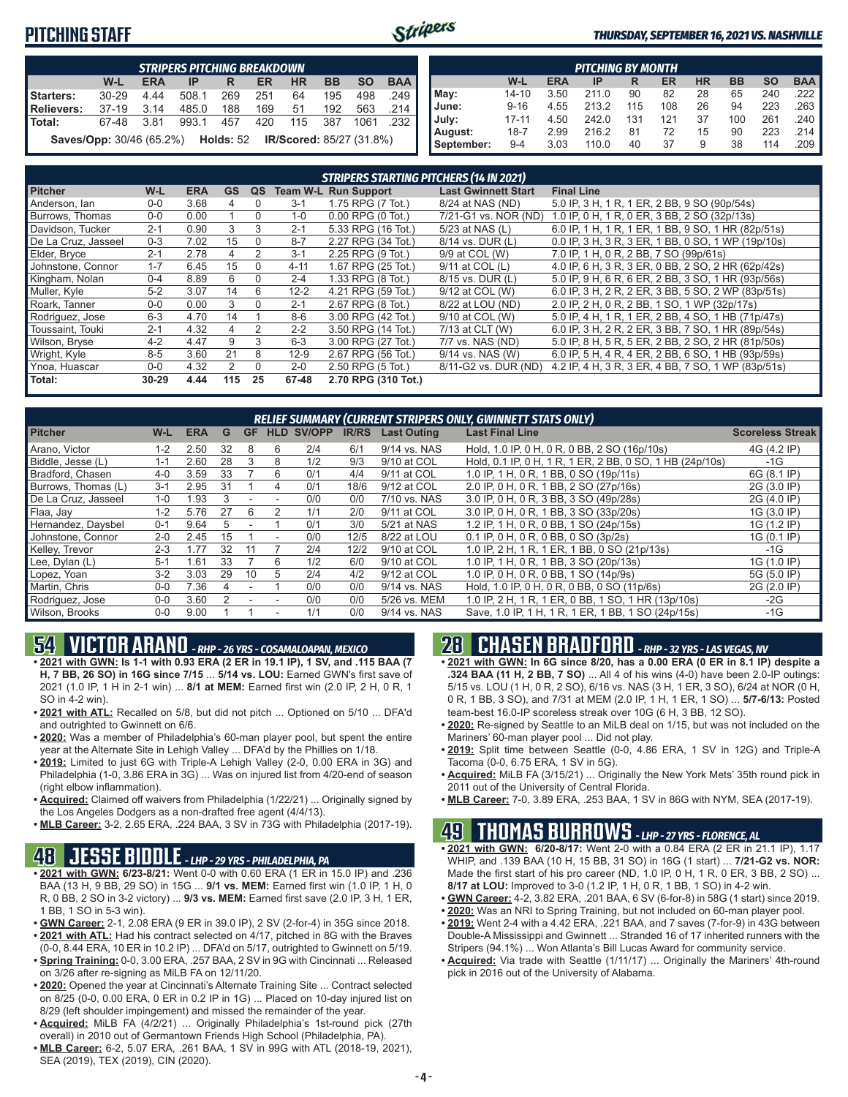## **PITCHING STAFF**



#### *THURSDAY, SEPTEMBER 16, 2021 VS. NASHVILLE*

|                 | <b>STRIPERS PITCHING BREAKDOWN</b>               |            |       |     |     |     |           |                                 |                       |  |  |  |  |
|-----------------|--------------------------------------------------|------------|-------|-----|-----|-----|-----------|---------------------------------|-----------------------|--|--|--|--|
|                 | W-L                                              | <b>ERA</b> | IP    | R   | ER  | HR  | <b>BB</b> | <b>SO</b>                       | <b>BAA</b>            |  |  |  |  |
| Starters:       | $30 - 29$                                        | 4.44       | 508.1 | 269 | 251 | 64  | 195       | 498                             | .249                  |  |  |  |  |
| Relievers:      | $37-19$                                          | 3.14       | 485.0 | 188 | 169 | 51  | 192       | 563                             | $.214$ $\blacksquare$ |  |  |  |  |
| <b>I</b> Total: | 67-48                                            | 3.81       | 993.1 | 457 | 420 | 115 | 387       | 1061                            | .232                  |  |  |  |  |
|                 | <b>Saves/Opp:</b> 30/46 (65.2%) <b>Holds:</b> 52 |            |       |     |     |     |           | <b>IR/Scored: 85/27 (31.8%)</b> |                       |  |  |  |  |

|            | <b>PITCHING BY MONTH</b> |            |       |     |     |           |           |           |                       |  |  |  |  |  |
|------------|--------------------------|------------|-------|-----|-----|-----------|-----------|-----------|-----------------------|--|--|--|--|--|
|            | W-L                      | <b>ERA</b> | IP    | R   | ER  | <b>HR</b> | <b>BB</b> | <b>SO</b> | <b>BAA</b>            |  |  |  |  |  |
| May:       | $14 - 10$                | 3.50       | 211.0 | 90  | 82  | 28        | 65        | 240       | $.222$ $\blacksquare$ |  |  |  |  |  |
| June:      | $9 - 16$                 | 4.55       | 213.2 | 115 | 108 | 26        | 94        | 223       | $.263$ $\blacksquare$ |  |  |  |  |  |
| July:      | $17 - 11$                | 4.50       | 242.0 | 131 | 121 | 37        | 100       | 261       | .240                  |  |  |  |  |  |
| August:    | $18 - 7$                 | 2.99       | 216.2 | 81  | 72  | 15        | 90        | 223       | .214 I                |  |  |  |  |  |
| September: | $9 - 4$                  | 3.03       | 110.0 | 40  | 37  | 9         | 38        | 114       | .209                  |  |  |  |  |  |

|                     | <b>STRIPERS STARTING PITCHERS (14 IN 2021)</b> |            |                |          |          |                             |                            |                                                    |  |  |  |  |  |
|---------------------|------------------------------------------------|------------|----------------|----------|----------|-----------------------------|----------------------------|----------------------------------------------------|--|--|--|--|--|
| <b>Pitcher</b>      | W-L                                            | <b>ERA</b> | <b>GS</b>      | QS       |          | <b>Team W-L Run Support</b> | <b>Last Gwinnett Start</b> | <b>Final Line</b>                                  |  |  |  |  |  |
| Anderson, lan       | $0 - 0$                                        | 3.68       | 4              | $\Omega$ | $3 - 1$  | 1.75 RPG (7 Tot.)           | 8/24 at NAS (ND)           | 5.0 IP, 3 H, 1 R, 1 ER, 2 BB, 9 SO (90p/54s)       |  |  |  |  |  |
| Burrows, Thomas     | $0-0$                                          | 0.00       |                | $\Omega$ | $1 - 0$  | $0.00$ RPG $(0$ Tot.)       | 7/21-G1 vs. NOR (ND)       | 1.0 IP, 0 H, 1 R, 0 ER, 3 BB, 2 SO (32p/13s)       |  |  |  |  |  |
| Davidson, Tucker    | $2 - 1$                                        | 0.90       | 3              | 3        | $2 - 1$  | 5.33 RPG (16 Tot.)          | 5/23 at NAS (L)            | 6.0 IP, 1 H, 1 R, 1 ER, 1 BB, 9 SO, 1 HR (82p/51s) |  |  |  |  |  |
| De La Cruz, Jasseel | $0 - 3$                                        | 7.02       | 15             | 0        | $8 - 7$  | 2.27 RPG (34 Tot.)          | 8/14 vs. DUR (L)           | 0.0 IP, 3 H, 3 R, 3 ER, 1 BB, 0 SO, 1 WP (19p/10s) |  |  |  |  |  |
| Elder, Bryce        | $2 - 1$                                        | 2.78       | 4              | 2        | $3 - 1$  | 2.25 RPG (9 Tot.)           | 9/9 at COL (W)             | 7.0 IP, 1 H, 0 R, 2 BB, 7 SO (99p/61s)             |  |  |  |  |  |
| Johnstone, Connor   | $1 - 7$                                        | 6.45       | 15             | $\Omega$ | $4 - 11$ | 1.67 RPG (25 Tot.)          | 9/11 at COL (L)            | 4.0 IP, 6 H, 3 R, 3 ER, 0 BB, 2 SO, 2 HR (62p/42s) |  |  |  |  |  |
| Kingham, Nolan      | $0 - 4$                                        | 8.89       | 6              | $\Omega$ | $2 - 4$  | 1.33 RPG (8 Tot.)           | 8/15 vs. DUR (L)           | 5.0 IP, 9 H, 6 R, 6 ER, 2 BB, 3 SO, 1 HR (93p/56s) |  |  |  |  |  |
| Muller, Kyle        | $5 - 2$                                        | 3.07       | 14             | 6        | $12 - 2$ | 4.21 RPG (59 Tot.)          | 9/12 at COL (W)            | 6.0 IP, 3 H, 2 R, 2 ER, 3 BB, 5 SO, 2 WP (83p/51s) |  |  |  |  |  |
| Roark. Tanner       | $0 - 0$                                        | 0.00       | 3              | $\Omega$ | $2 - 1$  | 2.67 RPG (8 Tot.)           | 8/22 at LOU (ND)           | 2.0 IP, 2 H, 0 R, 2 BB, 1 SO, 1 WP (32p/17s)       |  |  |  |  |  |
| Rodriguez, Jose     | $6 - 3$                                        | 4.70       | 14             |          | $8 - 6$  | 3.00 RPG (42 Tot.)          | 9/10 at COL (W)            | 5.0 IP, 4 H, 1 R, 1 ER, 2 BB, 4 SO, 1 HB (71p/47s) |  |  |  |  |  |
| Toussaint, Touki    | $2 - 1$                                        | 4.32       | 4              | 2        | $2 - 2$  | 3.50 RPG (14 Tot.)          | 7/13 at CLT (W)            | 6.0 IP, 3 H, 2 R, 2 ER, 3 BB, 7 SO, 1 HR (89p/54s) |  |  |  |  |  |
| Wilson, Bryse       | $4 - 2$                                        | 4.47       | 9              | 3        | $6 - 3$  | 3.00 RPG (27 Tot.)          | 7/7 vs. NAS (ND)           | 5.0 IP, 8 H, 5 R, 5 ER, 2 BB, 2 SO, 2 HR (81p/50s) |  |  |  |  |  |
| Wright, Kyle        | $8 - 5$                                        | 3.60       | 21             | 8        | $12-9$   | 2.67 RPG (56 Tot.)          | 9/14 vs. NAS (W)           | 6.0 IP, 5 H, 4 R, 4 ER, 2 BB, 6 SO, 1 HB (93p/59s) |  |  |  |  |  |
| Ynoa, Huascar       | $0 - 0$                                        | 4.32       | $\overline{2}$ | $\Omega$ | $2 - 0$  | 2.50 RPG (5 Tot.)           | 8/11-G2 vs. DUR (ND)       | 4.2 IP, 4 H, 3 R, 3 ER, 4 BB, 7 SO, 1 WP (83p/51s) |  |  |  |  |  |
| Total:              | 30-29                                          | 4.44       | 115            | 25       | 67-48    | 2.70 RPG (310 Tot.)         |                            |                                                    |  |  |  |  |  |

| RELIEF SUMMARY (CURRENT STRIPERS ONLY, GWINNETT STATS ONLY) |         |            |    |           |   |                   |              |                    |                                                          |                         |
|-------------------------------------------------------------|---------|------------|----|-----------|---|-------------------|--------------|--------------------|----------------------------------------------------------|-------------------------|
| <b>Pitcher</b>                                              | W-L     | <b>ERA</b> | G  | <b>GF</b> |   | <b>HLD SV/OPP</b> | <b>IR/RS</b> | <b>Last Outing</b> | <b>Last Final Line</b>                                   | <b>Scoreless Streak</b> |
| Arano, Victor                                               | $1 - 2$ | 2.50       | 32 | 8         | 6 | 2/4               | 6/1          | 9/14 vs. NAS       | Hold, 1.0 IP, 0 H, 0 R, 0 BB, 2 SO (16p/10s)             | 4G (4.2 IP)             |
| Biddle, Jesse (L)                                           | 1-1     | 2.60       | 28 | 3         | 8 | 1/2               | 9/3          | 9/10 at COL        | Hold, 0.1 IP, 0 H, 1 R, 1 ER, 2 BB, 0 SO, 1 HB (24p/10s) | $-1G$                   |
| Bradford, Chasen                                            | $4 - 0$ | 3.59       | 33 |           | 6 | 0/1               | 4/4          | 9/11 at COL        | 1.0 IP, 1 H, 0 R, 1 BB, 0 SO (19p/11s)                   | 6G (8.1 IP)             |
| Burrows, Thomas (L)                                         | $3 - 1$ | 2.95       | 31 |           | 4 | 0/1               | 18/6         | 9/12 at COL        | 2.0 IP, 0 H, 0 R, 1 BB, 2 SO (27p/16s)                   | 2G (3.0 IP)             |
| De La Cruz, Jasseel                                         | $1 - 0$ | l.93       |    |           |   | 0/0               | 0/0          | 7/10 vs. NAS       | 3.0 IP, 0 H, 0 R, 3 BB, 3 SO (49p/28s)                   | 2G (4.0 IP)             |
| Flaa, Jay                                                   | $1 - 2$ | 5.76       | 27 | 6         |   | 1/1               | 2/0          | 9/11 at COL        | 3.0 IP, 0 H, 0 R, 1 BB, 3 SO (33p/20s)                   | 1G (3.0 IP)             |
| Hernandez, Daysbel                                          | $0 - 1$ | 9.64       | h. |           |   | 0/1               | 3/0          | 5/21 at NAS        | 1.2 IP, 1 H, 0 R, 0 BB, 1 SO (24p/15s)                   | 1G (1.2 IP)             |
| Johnstone, Connor                                           | $2 - 0$ | 2.45       | 15 |           |   | 0/0               | 12/5         | 8/22 at LOU        | 0.1 IP, 0 H, 0 R, 0 BB, 0 SO (3p/2s)                     | 1G (0.1 IP)             |
| Kelley, Trevor                                              | $2 - 3$ | 1.77       | 32 |           |   | 2/4               | 12/2         | 9/10 at COL        | 1.0 IP, 2 H, 1 R, 1 ER, 1 BB, 0 SO (21p/13s)             | $-1G$                   |
| Lee, Dylan (L)                                              | $5 - 1$ | 1.61       | 33 |           | 6 | 1/2               | 6/0          | 9/10 at COL        | 1.0 IP, 1 H, 0 R, 1 BB, 3 SO (20p/13s)                   | 1G (1.0 IP)             |
| Lopez, Yoan                                                 | $3 - 2$ | 3.03       | 29 | 10        | 5 | 2/4               | 4/2          | 9/12 at COL        | 1.0 IP, 0 H, 0 R, 0 BB, 1 SO (14p/9s)                    | 5G (5.0 IP)             |
| Martin, Chris                                               | $0 - 0$ | 7.36       |    |           |   | 0/0               | 0/0          | 9/14 vs. NAS       | Hold, 1.0 IP, 0 H, 0 R, 0 BB, 0 SO (11p/6s)              | 2G (2.0 IP)             |
| Rodriguez, Jose                                             | $0 - 0$ | 3.60       |    |           |   | 0/0               | 0/0          | 5/26 vs. MEM       | 1.0 IP, 2 H, 1 R, 1 ER, 0 BB, 1 SO, 1 HR (13p/10s)       | $-2G$                   |
| Wilson, Brooks                                              | $0-0$   | 9.00       |    |           |   | 1/1               | 0/0          | 9/14 vs. NAS       | Save, 1.0 IP, 1 H, 1 R, 1 ER, 1 BB, 1 SO (24p/15s)       | -1G                     |

# **54 VICTOR ARANO** *- RHP - 26 YRS - COSAMALOAPAN, MEXICO*

- **• 2021 with GWN: Is 1-1 with 0.93 ERA (2 ER in 19.1 IP), 1 SV, and .115 BAA (7 H, 7 BB, 26 SO) in 16G since 7/15** ... **5/14 vs. LOU:** Earned GWN's first save of 2021 (1.0 IP, 1 H in 2-1 win) ... **8/1 at MEM:** Earned first win (2.0 IP, 2 H, 0 R, 1 SO in 4-2 win).
- **• 2021 with ATL:** Recalled on 5/8, but did not pitch ... Optioned on 5/10 ... DFA'd and outrighted to Gwinnett on 6/6.
- **• 2020:** Was a member of Philadelphia's 60-man player pool, but spent the entire year at the Alternate Site in Lehigh Valley ... DFA'd by the Phillies on 1/18.
- **• 2019:** Limited to just 6G with Triple-A Lehigh Valley (2-0, 0.00 ERA in 3G) and Philadelphia (1-0, 3.86 ERA in 3G) ... Was on injured list from 4/20-end of season (right elbow inflammation).
- **• Acquired:** Claimed off waivers from Philadelphia (1/22/21) ... Originally signed by the Los Angeles Dodgers as a non-drafted free agent (4/4/13).
- **• MLB Career:** 3-2, 2.65 ERA, .224 BAA, 3 SV in 73G with Philadelphia (2017-19).

## **48 JESSE BIDDLE** *- LHP - 29 YRS - PHILADELPHIA, PA*

- **• 2021 with GWN: 6/23-8/21:** Went 0-0 with 0.60 ERA (1 ER in 15.0 IP) and .236 BAA (13 H, 9 BB, 29 SO) in 15G ... **9/1 vs. MEM:** Earned first win (1.0 IP, 1 H, 0 R, 0 BB, 2 SO in 3-2 victory) ... **9/3 vs. MEM:** Earned first save (2.0 IP, 3 H, 1 ER, 1 BB, 1 SO in 5-3 win).
- **• GWN Career:** 2-1, 2.08 ERA (9 ER in 39.0 IP), 2 SV (2-for-4) in 35G since 2018. **• 2021 with ATL:** Had his contract selected on 4/17, pitched in 8G with the Braves
- (0-0, 8.44 ERA, 10 ER in 10.2 IP) ... DFA'd on 5/17, outrighted to Gwinnett on 5/19. **• Spring Training:** 0-0, 3.00 ERA, .257 BAA, 2 SV in 9G with Cincinnati ... Released on 3/26 after re-signing as MiLB FA on 12/11/20.
- **• 2020:** Opened the year at Cincinnati's Alternate Training Site ... Contract selected on 8/25 (0-0, 0.00 ERA, 0 ER in 0.2 IP in 1G) ... Placed on 10-day injured list on 8/29 (left shoulder impingement) and missed the remainder of the year.
- **• Acquired:** MiLB FA (4/2/21) ... Originally Philadelphia's 1st-round pick (27th overall) in 2010 out of Germantown Friends High School (Philadelphia, PA).
- **• MLB Career:** 6-2, 5.07 ERA, .261 BAA, 1 SV in 99G with ATL (2018-19, 2021), SEA (2019), TEX (2019), CIN (2020).

# **28 CHASEN BRADFORD** *- RHP - 32 YRS - LAS VEGAS, NV*

- **• 2021 with GWN: In 6G since 8/20, has a 0.00 ERA (0 ER in 8.1 IP) despite a .324 BAA (11 H, 2 BB, 7 SO)** ... All 4 of his wins (4-0) have been 2.0-IP outings: 5/15 vs. LOU (1 H, 0 R, 2 SO), 6/16 vs. NAS (3 H, 1 ER, 3 SO), 6/24 at NOR (0 H, 0 R, 1 BB, 3 SO), and 7/31 at MEM (2.0 IP, 1 H, 1 ER, 1 SO) ... **5/7-6/13:** Posted team-best 16.0-IP scoreless streak over 10G (6 H, 3 BB, 12 SO).
- **• 2020:** Re-signed by Seattle to an MiLB deal on 1/15, but was not included on the Mariners' 60-man player pool ... Did not play.
- **• 2019:** Split time between Seattle (0-0, 4.86 ERA, 1 SV in 12G) and Triple-A Tacoma (0-0, 6.75 ERA, 1 SV in 5G).
- **• Acquired:** MiLB FA (3/15/21) ... Originally the New York Mets' 35th round pick in 2011 out of the University of Central Florida.
- **• MLB Career:** 7-0, 3.89 ERA, .253 BAA, 1 SV in 86G with NYM, SEA (2017-19).

## **49 THOMAS BURROWS** *- LHP - 27 YRS - FLORENCE, AL*

- **• 2021 with GWN: 6/20-8/17:** Went 2-0 with a 0.84 ERA (2 ER in 21.1 IP), 1.17 WHIP, and .139 BAA (10 H, 15 BB, 31 SO) in 16G (1 start) ... **7/21-G2 vs. NOR:** Made the first start of his pro career (ND, 1.0 IP, 0 H, 1 R, 0 ER, 3 BB, 2 SO) .. **8/17 at LOU:** Improved to 3-0 (1.2 IP, 1 H, 0 R, 1 BB, 1 SO) in 4-2 win.
- **• GWN Career:** 4-2, 3.82 ERA, .201 BAA, 6 SV (6-for-8) in 58G (1 start) since 2019.
- **• 2020:** Was an NRI to Spring Training, but not included on 60-man player pool.
- **• 2019:** Went 2-4 with a 4.42 ERA, .221 BAA, and 7 saves (7-for-9) in 43G between Double-A Mississippi and Gwinnett ... Stranded 16 of 17 inherited runners with the Stripers (94.1%) ... Won Atlanta's Bill Lucas Award for community service.
- **• Acquired:** Via trade with Seattle (1/11/17) ... Originally the Mariners' 4th-round pick in 2016 out of the University of Alabama.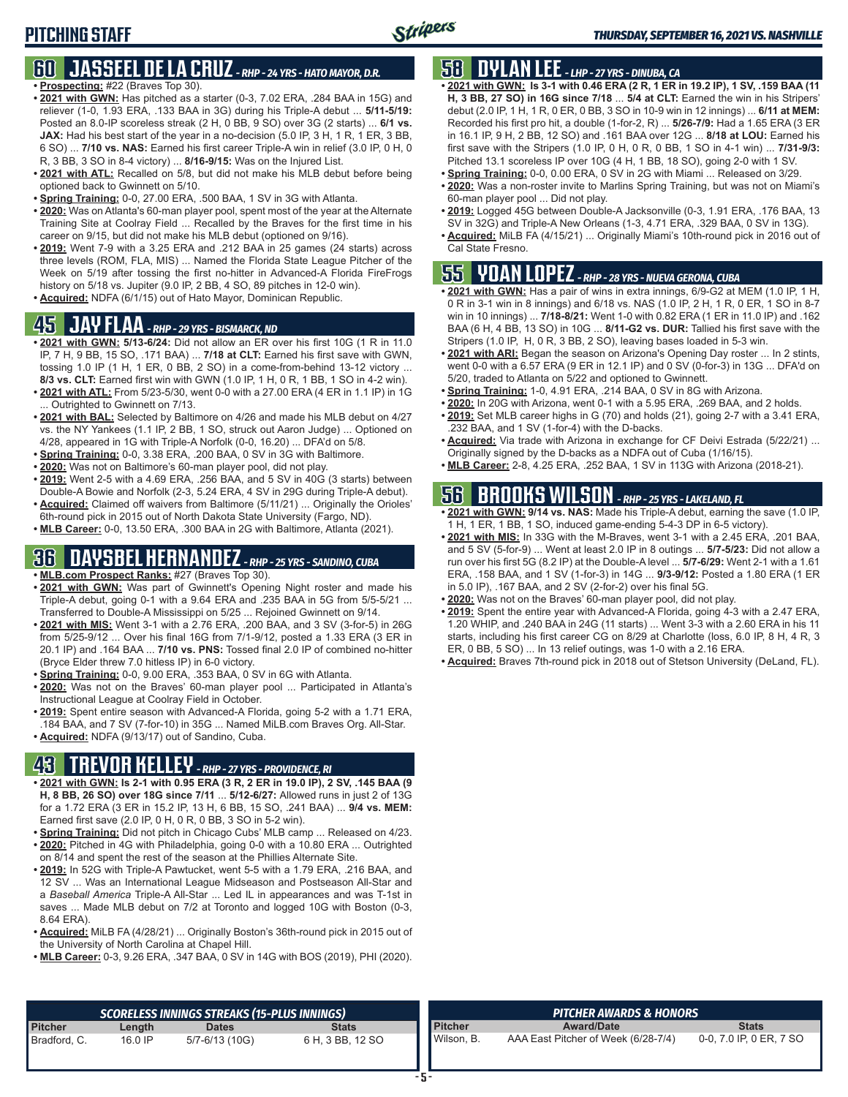### **60 JASSEEL DE LA CRUZ** *- RHP - 24 YRS - HATO MAYOR, D.R.* **• Prospecting:** #22 (Braves Top 30).

- **• 2021 with GWN:** Has pitched as a starter (0-3, 7.02 ERA, .284 BAA in 15G) and reliever (1-0, 1.93 ERA, .133 BAA in 3G) during his Triple-A debut ... **5/11-5/19:** Posted an 8.0-IP scoreless streak (2 H, 0 BB, 9 SO) over 3G (2 starts) ... **6/1 vs. JAX:** Had his best start of the year in a no-decision (5.0 IP, 3 H, 1 R, 1 ER, 3 BB, 6 SO) ... **7/10 vs. NAS:** Earned his first career Triple-A win in relief (3.0 IP, 0 H, 0 R, 3 BB, 3 SO in 8-4 victory) ... **8/16-9/15:** Was on the Injured List.
- **• 2021 with ATL:** Recalled on 5/8, but did not make his MLB debut before being optioned back to Gwinnett on 5/10.
- **• Spring Training:** 0-0, 27.00 ERA, .500 BAA, 1 SV in 3G with Atlanta.
- **• 2020:** Was on Atlanta's 60-man player pool, spent most of the year at the Alternate Training Site at Coolray Field ... Recalled by the Braves for the first time in his career on 9/15, but did not make his MLB debut (optioned on 9/16).
- **• 2019:** Went 7-9 with a 3.25 ERA and .212 BAA in 25 games (24 starts) across three levels (ROM, FLA, MIS) ... Named the Florida State League Pitcher of the Week on 5/19 after tossing the first no-hitter in Advanced-A Florida FireFrogs history on 5/18 vs. Jupiter (9.0 IP, 2 BB, 4 SO, 89 pitches in 12-0 win).
- **• Acquired:** NDFA (6/1/15) out of Hato Mayor, Dominican Republic.

## **45 JAY FLAA** *- RHP - 29 YRS - BISMARCK, ND*

- **• 2021 with GWN: 5/13-6/24:** Did not allow an ER over his first 10G (1 R in 11.0 IP, 7 H, 9 BB, 15 SO, .171 BAA) ... **7/18 at CLT:** Earned his first save with GWN, tossing 1.0 IP (1 H, 1 ER, 0 BB, 2 SO) in a come-from-behind 13-12 victory ... **8/3 vs. CLT:** Earned first win with GWN (1.0 IP, 1 H, 0 R, 1 BB, 1 SO in 4-2 win).
- **• 2021 with ATL:** From 5/23-5/30, went 0-0 with a 27.00 ERA (4 ER in 1.1 IP) in 1G ... Outrighted to Gwinnett on 7/13.
- **• 2021 with BAL:** Selected by Baltimore on 4/26 and made his MLB debut on 4/27 vs. the NY Yankees (1.1 IP, 2 BB, 1 SO, struck out Aaron Judge) ... Optioned on 4/28, appeared in 1G with Triple-A Norfolk (0-0, 16.20) ... DFA'd on 5/8.
- **• Spring Training:** 0-0, 3.38 ERA, .200 BAA, 0 SV in 3G with Baltimore.
- **• 2020:** Was not on Baltimore's 60-man player pool, did not play.
- **• 2019:** Went 2-5 with a 4.69 ERA, .256 BAA, and 5 SV in 40G (3 starts) between Double-A Bowie and Norfolk (2-3, 5.24 ERA, 4 SV in 29G during Triple-A debut).
- **• Acquired:** Claimed off waivers from Baltimore (5/11/21) ... Originally the Orioles' 6th-round pick in 2015 out of North Dakota State University (Fargo, ND).
- **• MLB Career:** 0-0, 13.50 ERA, .300 BAA in 2G with Baltimore, Atlanta (2021).

## **36 DAYSBEL HERNANDEZ** *- RHP - 25 YRS - SANDINO, CUBA*

- **• MLB.com Prospect Ranks:** #27 (Braves Top 30).
- **• 2021 with GWN:** Was part of Gwinnett's Opening Night roster and made his Triple-A debut, going 0-1 with a 9.64 ERA and .235 BAA in 5G from 5/5-5/21 ... Transferred to Double-A Mississippi on 5/25 ... Rejoined Gwinnett on 9/14.
- **• 2021 with MIS:** Went 3-1 with a 2.76 ERA, .200 BAA, and 3 SV (3-for-5) in 26G from 5/25-9/12 ... Over his final 16G from 7/1-9/12, posted a 1.33 ERA (3 ER in 20.1 IP) and .164 BAA ... **7/10 vs. PNS:** Tossed final 2.0 IP of combined no-hitter (Bryce Elder threw 7.0 hitless IP) in 6-0 victory.
- **• Spring Training:** 0-0, 9.00 ERA, .353 BAA, 0 SV in 6G with Atlanta.
- **• 2020:** Was not on the Braves' 60-man player pool ... Participated in Atlanta's Instructional League at Coolray Field in October.
- **• 2019:** Spent entire season with Advanced-A Florida, going 5-2 with a 1.71 ERA, .184 BAA, and 7 SV (7-for-10) in 35G ... Named MiLB.com Braves Org. All-Star.
- **• Acquired:** NDFA (9/13/17) out of Sandino, Cuba.

# **43 TREVOR KELLEY** *- RHP - 27 YRS - PROVIDENCE, RI*

- **• 2021 with GWN: Is 2-1 with 0.95 ERA (3 R, 2 ER in 19.0 IP), 2 SV, .145 BAA (9 H, 8 BB, 26 SO) over 18G since 7/11** ... **5/12-6/27:** Allowed runs in just 2 of 13G for a 1.72 ERA (3 ER in 15.2 IP, 13 H, 6 BB, 15 SO, .241 BAA) ... **9/4 vs. MEM:** Earned first save (2.0 IP, 0 H, 0 R, 0 BB, 3 SO in 5-2 win).
- **• Spring Training:** Did not pitch in Chicago Cubs' MLB camp ... Released on 4/23. **• 2020:** Pitched in 4G with Philadelphia, going 0-0 with a 10.80 ERA ... Outrighted
- on 8/14 and spent the rest of the season at the Phillies Alternate Site. **• 2019:** In 52G with Triple-A Pawtucket, went 5-5 with a 1.79 ERA, .216 BAA, and 12 SV ... Was an International League Midseason and Postseason All-Star and a *Baseball America* Triple-A All-Star ... Led IL in appearances and was T-1st in saves ... Made MLB debut on 7/2 at Toronto and logged 10G with Boston (0-3, 8.64 ERA).
- **• Acquired:** MiLB FA (4/28/21) ... Originally Boston's 36th-round pick in 2015 out of the University of North Carolina at Chapel Hill.
- **• MLB Career:** 0-3, 9.26 ERA, .347 BAA, 0 SV in 14G with BOS (2019), PHI (2020).

# **58 DYLAN LEE** *- LHP - 27 YRS - DINUBA, CA*

- **• 2021 with GWN: Is 3-1 with 0.46 ERA (2 R, 1 ER in 19.2 IP), 1 SV, .159 BAA (11 H, 3 BB, 27 SO) in 16G since 7/18** ... **5/4 at CLT:** Earned the win in his Stripers' debut (2.0 IP, 1 H, 1 R, 0 ER, 0 BB, 3 SO in 10-9 win in 12 innings) ... **6/11 at MEM:** Recorded his first pro hit, a double (1-for-2, R) ... **5/26-7/9:** Had a 1.65 ERA (3 ER in 16.1 IP, 9 H, 2 BB, 12 SO) and .161 BAA over 12G ... **8/18 at LOU:** Earned his first save with the Stripers (1.0 IP, 0 H, 0 R, 0 BB, 1 SO in 4-1 win) ... **7/31-9/3:** Pitched 13.1 scoreless IP over 10G (4 H, 1 BB, 18 SO), going 2-0 with 1 SV.
- **• Spring Training:** 0-0, 0.00 ERA, 0 SV in 2G with Miami ... Released on 3/29.
- **• 2020:** Was a non-roster invite to Marlins Spring Training, but was not on Miami's 60-man player pool ... Did not play.
- **• 2019:** Logged 45G between Double-A Jacksonville (0-3, 1.91 ERA, .176 BAA, 13 SV in 32G) and Triple-A New Orleans (1-3, 4.71 ERA, .329 BAA, 0 SV in 13G).
- **• Acquired:** MiLB FA (4/15/21) ... Originally Miami's 10th-round pick in 2016 out of Cal State Fresno.

## **55 YOAN LOPEZ** *- RHP - 28 YRS - NUEVA GERONA, CUBA*

- **• 2021 with GWN:** Has a pair of wins in extra innings, 6/9-G2 at MEM (1.0 IP, 1 H, 0 R in 3-1 win in 8 innings) and 6/18 vs. NAS (1.0 IP, 2 H, 1 R, 0 ER, 1 SO in 8-7 win in 10 innings) ... **7/18-8/21:** Went 1-0 with 0.82 ERA (1 ER in 11.0 IP) and .162 BAA (6 H, 4 BB, 13 SO) in 10G ... **8/11-G2 vs. DUR:** Tallied his first save with the Stripers (1.0 IP, H, 0 R, 3 BB, 2 SO), leaving bases loaded in 5-3 win.
- **• 2021 with ARI:** Began the season on Arizona's Opening Day roster ... In 2 stints, went 0-0 with a 6.57 ERA (9 ER in 12.1 IP) and 0 SV (0-for-3) in 13G ... DFA'd on 5/20, traded to Atlanta on 5/22 and optioned to Gwinnett.
- **• Spring Training:** 1-0, 4.91 ERA, .214 BAA, 0 SV in 8G with Arizona.
- **• 2020:** In 20G with Arizona, went 0-1 with a 5.95 ERA, .269 BAA, and 2 holds.
- **• 2019:** Set MLB career highs in G (70) and holds (21), going 2-7 with a 3.41 ERA, .232 BAA, and 1 SV (1-for-4) with the D-backs.
- **• Acquired:** Via trade with Arizona in exchange for CF Deivi Estrada (5/22/21) ... Originally signed by the D-backs as a NDFA out of Cuba (1/16/15).
- **• MLB Career:** 2-8, 4.25 ERA, .252 BAA, 1 SV in 113G with Arizona (2018-21).

# **56 BROOKS WILSON** *- RHP - 25 YRS - LAKELAND, FL*

- **• 2021 with GWN: 9/14 vs. NAS:** Made his Triple-A debut, earning the save (1.0 IP, 1 H, 1 ER, 1 BB, 1 SO, induced game-ending 5-4-3 DP in 6-5 victory).
- **• 2021 with MIS:** In 33G with the M-Braves, went 3-1 with a 2.45 ERA, .201 BAA, and 5 SV (5-for-9) ... Went at least 2.0 IP in 8 outings ... **5/7-5/23:** Did not allow a run over his first 5G (8.2 IP) at the Double-A level ... **5/7-6/29:** Went 2-1 with a 1.61 ERA, .158 BAA, and 1 SV (1-for-3) in 14G ... **9/3-9/12:** Posted a 1.80 ERA (1 ER in 5.0 IP), .167 BAA, and 2 SV (2-for-2) over his final 5G.
- **• 2020:** Was not on the Braves' 60-man player pool, did not play.
- **• 2019:** Spent the entire year with Advanced-A Florida, going 4-3 with a 2.47 ERA, 1.20 WHIP, and .240 BAA in 24G (11 starts) ... Went 3-3 with a 2.60 ERA in his 11 starts, including his first career CG on 8/29 at Charlotte (loss, 6.0 IP, 8 H, 4 R, 3 ER, 0 BB, 5 SO) ... In 13 relief outings, was 1-0 with a 2.16 ERA.
- **• Acquired:** Braves 7th-round pick in 2018 out of Stetson University (DeLand, FL).

|                |         | SCORELESS INNINGS STREAKS (15-PLUS INNINGS) \ |                  |                | <b>PITCHER AWARDS &amp; HONORS</b>  |                         |
|----------------|---------|-----------------------------------------------|------------------|----------------|-------------------------------------|-------------------------|
| <b>Pitcher</b> | Length  | <b>Dates</b>                                  | <b>Stats</b>     | <b>Pitcher</b> | <b>Award/Date</b>                   | <b>Stats</b>            |
| Bradford, C.   | 16.0 IP | 5/7-6/13 (10G)                                | 6 H, 3 BB, 12 SO | Wilson, B.     | AAA East Pitcher of Week (6/28-7/4) | 0-0, 7.0 IP, 0 ER, 7 SO |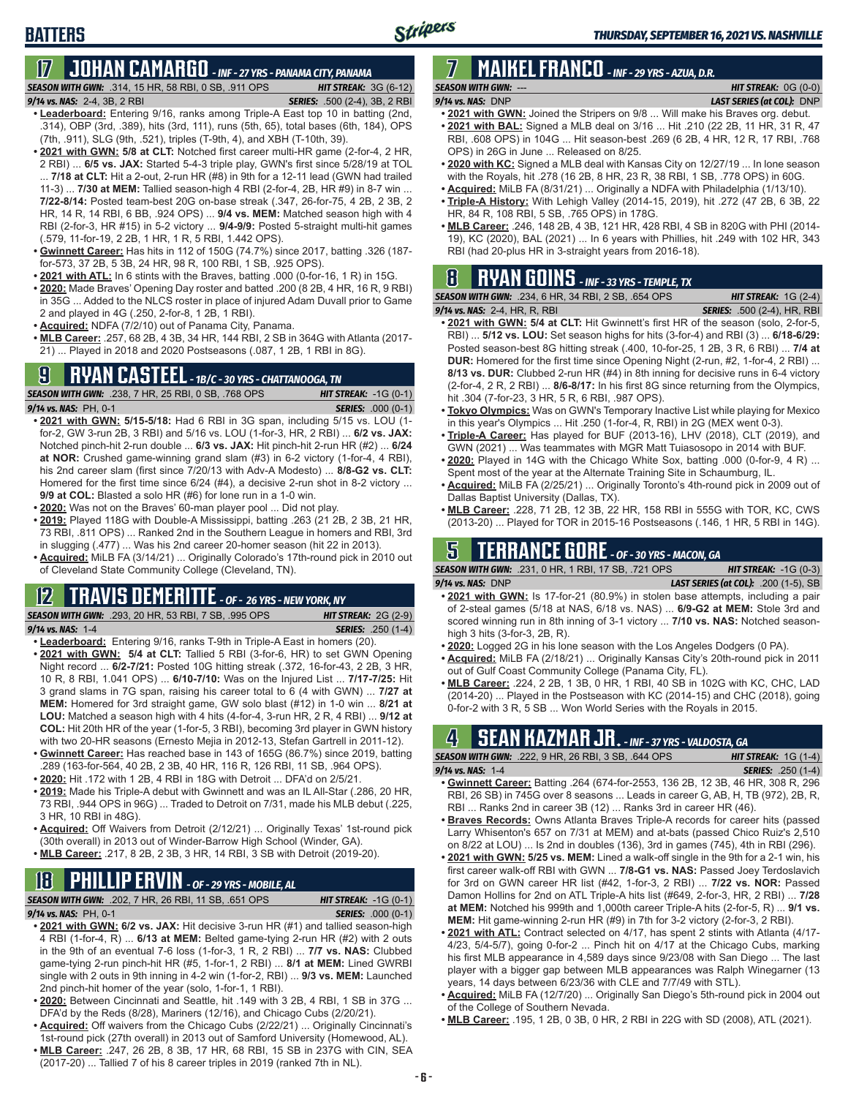## **BATTERS**

# **17 JOHAN CAMARGO** *- INF - 27 YRS - PANAMA CITY, PANAMA*

*SEASON WITH GWN:*.314, 15 HR, 58 RBI, 0 SB, .911 OPS *HIT STREAK:* 3G (6-12)

#### *9/14 vs. NAS:* 2-4, 3B, 2 RBI *SERIES:* .500 (2-4), 3B, 2 RBI

- **• Leaderboard:** Entering 9/16, ranks among Triple-A East top 10 in batting (2nd, .314), OBP (3rd, .389), hits (3rd, 111), runs (5th, 65), total bases (6th, 184), OPS (7th, .911), SLG (9th, .521), triples (T-9th, 4), and XBH (T-10th, 39).
- **• 2021 with GWN: 5/8 at CLT:** Notched first career multi-HR game (2-for-4, 2 HR, 2 RBI) ... **6/5 vs. JAX:** Started 5-4-3 triple play, GWN's first since 5/28/19 at TOL ... **7/18 at CLT:** Hit a 2-out, 2-run HR (#8) in 9th for a 12-11 lead (GWN had trailed 11-3) ... **7/30 at MEM:** Tallied season-high 4 RBI (2-for-4, 2B, HR #9) in 8-7 win ... **7/22-8/14:** Posted team-best 20G on-base streak (.347, 26-for-75, 4 2B, 2 3B, 2 HR, 14 R, 14 RBI, 6 BB, .924 OPS) ... **9/4 vs. MEM:** Matched season high with 4 RBI (2-for-3, HR #15) in 5-2 victory ... **9/4-9/9:** Posted 5-straight multi-hit games (.579, 11-for-19, 2 2B, 1 HR, 1 R, 5 RBI, 1.442 OPS).
- **• Gwinnett Career:** Has hits in 112 of 150G (74.7%) since 2017, batting .326 (187 for-573, 37 2B, 5 3B, 24 HR, 98 R, 100 RBI, 1 SB, .925 OPS).
- **• 2021 with ATL:** In 6 stints with the Braves, batting .000 (0-for-16, 1 R) in 15G.
- **• 2020:** Made Braves' Opening Day roster and batted .200 (8 2B, 4 HR, 16 R, 9 RBI) in 35G ... Added to the NLCS roster in place of injured Adam Duvall prior to Game 2 and played in 4G (.250, 2-for-8, 1 2B, 1 RBI).
- **• Acquired:** NDFA (7/2/10) out of Panama City, Panama.
- **• MLB Career:** .257, 68 2B, 4 3B, 34 HR, 144 RBI, 2 SB in 364G with Atlanta (2017- 21) ... Played in 2018 and 2020 Postseasons (.087, 1 2B, 1 RBI in 8G).

# **9 RYAN CASTEEL** *- 1B/C - 30 YRS - CHATTANOOGA, TN*

*SEASON WITH GWN:*.238, 7 HR, 25 RBI, 0 SB, .768 OPS *HIT STREAK:* -1G (0-1) *9/14 vs. NAS:*PH, 0-1 *SERIES:* .000 (0-1)

- **• 2021 with GWN: 5/15-5/18:** Had 6 RBI in 3G span, including 5/15 vs. LOU (1 for-2, GW 3-run 2B, 3 RBI) and 5/16 vs. LOU (1-for-3, HR, 2 RBI) ... **6/2 vs. JAX:** Notched pinch-hit 2-run double ... **6/3 vs. JAX:** Hit pinch-hit 2-run HR (#2) ... **6/24 at NOR:** Crushed game-winning grand slam (#3) in 6-2 victory (1-for-4, 4 RBI), his 2nd career slam (first since 7/20/13 with Adv-A Modesto) ... **8/8-G2 vs. CLT:** Homered for the first time since 6/24 (#4), a decisive 2-run shot in 8-2 victory ... **9/9 at COL:** Blasted a solo HR (#6) for lone run in a 1-0 win.
- **• 2020:** Was not on the Braves' 60-man player pool ... Did not play.
- **• 2019:** Played 118G with Double-A Mississippi, batting .263 (21 2B, 2 3B, 21 HR, 73 RBI, .811 OPS) ... Ranked 2nd in the Southern League in homers and RBI, 3rd in slugging (.477) ... Was his 2nd career 20-homer season (hit 22 in 2013).
- **• Acquired:** MiLB FA (3/14/21) ... Originally Colorado's 17th-round pick in 2010 out of Cleveland State Community College (Cleveland, TN).

### **12 TRAVIS DEMERITTE** *- OF - 26 YRS - NEW YORK, NY*

*SEASON WITH GWN:*.293, 20 HR, 53 RBI, 7 SB, .995 OPS *HIT STREAK:* 2G (2-9) *9/14 vs. NAS:*1-4 *SERIES:* .250 (1-4)

- **• Leaderboard:** Entering 9/16, ranks T-9th in Triple-A East in homers (20).
- **• 2021 with GWN: 5/4 at CLT:** Tallied 5 RBI (3-for-6, HR) to set GWN Opening Night record ... **6/2-7/21:** Posted 10G hitting streak (.372, 16-for-43, 2 2B, 3 HR, 10 R, 8 RBI, 1.041 OPS) ... **6/10-7/10:** Was on the Injured List ... **7/17-7/25:** Hit 3 grand slams in 7G span, raising his career total to 6 (4 with GWN) ... **7/27 at MEM:** Homered for 3rd straight game, GW solo blast (#12) in 1-0 win ... **8/21 at LOU:** Matched a season high with 4 hits (4-for-4, 3-run HR, 2 R, 4 RBI) ... **9/12 at COL:** Hit 20th HR of the year (1-for-5, 3 RBI), becoming 3rd player in GWN history with two 20-HR seasons (Ernesto Mejia in 2012-13, Stefan Gartrell in 2011-12).
- **• Gwinnett Career:** Has reached base in 143 of 165G (86.7%) since 2019, batting .289 (163-for-564, 40 2B, 2 3B, 40 HR, 116 R, 126 RBI, 11 SB, .964 OPS).
- **• 2020:** Hit .172 with 1 2B, 4 RBI in 18G with Detroit ... DFA'd on 2/5/21.
- **• 2019:** Made his Triple-A debut with Gwinnett and was an IL All-Star (.286, 20 HR, 73 RBI, .944 OPS in 96G) ... Traded to Detroit on 7/31, made his MLB debut (.225, 3 HR, 10 RBI in 48G).
- **• Acquired:** Off Waivers from Detroit (2/12/21) ... Originally Texas' 1st-round pick (30th overall) in 2013 out of Winder-Barrow High School (Winder, GA).
- **• MLB Career:** .217, 8 2B, 2 3B, 3 HR, 14 RBI, 3 SB with Detroit (2019-20).

# **18 PHILLIP ERVIN** *- OF - 29 YRS - MOBILE, AL*

*SEASON WITH GWN:*.202, 7 HR, 26 RBI, 11 SB, .651 OPS *HIT STREAK:* -1G (0-1)

*9/14 vs. NAS:*PH, 0-1 *SERIES:* .000 (0-1)

- **• 2021 with GWN: 6/2 vs. JAX:** Hit decisive 3-run HR (#1) and tallied season-high 4 RBI (1-for-4, R) ... **6/13 at MEM:** Belted game-tying 2-run HR (#2) with 2 outs in the 9th of an eventual 7-6 loss (1-for-3, 1 R, 2 RBI) ... **7/7 vs. NAS:** Clubbed game-tying 2-run pinch-hit HR (#5, 1-for-1, 2 RBI) ... **8/1 at MEM:** Lined GWRBI single with 2 outs in 9th inning in 4-2 win (1-for-2, RBI) ... **9/3 vs. MEM:** Launched 2nd pinch-hit homer of the year (solo, 1-for-1, 1 RBI).
- **• 2020:** Between Cincinnati and Seattle, hit .149 with 3 2B, 4 RBI, 1 SB in 37G ... DFA'd by the Reds (8/28), Mariners (12/16), and Chicago Cubs (2/20/21).
- **• Acquired:** Off waivers from the Chicago Cubs (2/22/21) ... Originally Cincinnati's 1st-round pick (27th overall) in 2013 out of Samford University (Homewood, AL).
- **• MLB Career:** .247, 26 2B, 8 3B, 17 HR, 68 RBI, 15 SB in 237G with CIN, SEA (2017-20) ... Tallied 7 of his 8 career triples in 2019 (ranked 7th in NL).

### **7 MAIKEL FRANCO** *- INF - 29 YRS - AZUA, D.R. SEASON WITH GWN:*--- *HIT STREAK:* 0G (0-0)

#### *9/14 vs. NAS:*DNP *LAST SERIES (at COL):* DNP

- **• 2021 with GWN:** Joined the Stripers on 9/8 ... Will make his Braves org. debut.
- **• 2021 with BAL:** Signed a MLB deal on 3/16 ... Hit .210 (22 2B, 11 HR, 31 R, 47 RBI, .608 OPS) in 104G ... Hit season-best .269 (6 2B, 4 HR, 12 R, 17 RBI, .768 OPS) in 26G in June ... Released on 8/25.
- **• 2020 with KC:** Signed a MLB deal with Kansas City on 12/27/19 ... In lone season with the Royals, hit .278 (16 2B, 8 HR, 23 R, 38 RBI, 1 SB, .778 OPS) in 60G.
- **• Acquired:** MiLB FA (8/31/21) ... Originally a NDFA with Philadelphia (1/13/10).
- **• Triple-A History:** With Lehigh Valley (2014-15, 2019), hit .272 (47 2B, 6 3B, 22 HR, 84 R, 108 RBI, 5 SB, .765 OPS) in 178G.
- **• MLB Career:** .246, 148 2B, 4 3B, 121 HR, 428 RBI, 4 SB in 820G with PHI (2014- 19), KC (2020), BAL (2021) ... In 6 years with Phillies, hit .249 with 102 HR, 343 RBI (had 20-plus HR in 3-straight years from 2016-18).

#### **8 RYAN GOINS** *- INF - 33 YRS - TEMPLE, TX* **SEASON WITH GWN:**

| .234, 6 HR, 34 RBI, 2 SB, .654 OPS | <b>HIT STREAK:</b> $1G(2-4)$       |
|------------------------------------|------------------------------------|
| ir, R, Rbi                         | <b>SERIES:</b> .500 (2-4), HR, RBI |

- **9/14 vs. NAS:** 2-4, H **• 2021 with GWN: 5/4 at CLT:** Hit Gwinnett's first HR of the season (solo, 2-for-5, RBI) ... **5/12 vs. LOU:** Set season highs for hits (3-for-4) and RBI (3) ... **6/18-6/29:** Posted season-best 8G hitting streak (.400, 10-for-25, 1 2B, 3 R, 6 RBI) ... **7/4 at DUR:** Homered for the first time since Opening Night (2-run, #2, 1-for-4, 2 RBI) ... **8/13 vs. DUR:** Clubbed 2-run HR (#4) in 8th inning for decisive runs in 6-4 victory (2-for-4, 2 R, 2 RBI) ... **8/6-8/17:** In his first 8G since returning from the Olympics, hit .304 (7-for-23, 3 HR, 5 R, 6 RBI, .987 OPS).
- **• Tokyo Olympics:** Was on GWN's Temporary Inactive List while playing for Mexico in this year's Olympics ... Hit .250 (1-for-4, R, RBI) in 2G (MEX went 0-3).
- **• Triple-A Career:** Has played for BUF (2013-16), LHV (2018), CLT (2019), and GWN (2021) ... Was teammates with MGR Matt Tuiasosopo in 2014 with BUF.
- **• 2020:** Played in 14G with the Chicago White Sox, batting .000 (0-for-9, 4 R) ... Spent most of the year at the Alternate Training Site in Schaumburg, IL.
- **• Acquired:** MiLB FA (2/25/21) ... Originally Toronto's 4th-round pick in 2009 out of Dallas Baptist University (Dallas, TX).
- **• MLB Career:** .228, 71 2B, 12 3B, 22 HR, 158 RBI in 555G with TOR, KC, CWS (2013-20) ... Played for TOR in 2015-16 Postseasons (.146, 1 HR, 5 RBI in 14G).

## **5 TERRANCE GORE** *- OF - 30 YRS - MACON, GA*

*SEASON WITH GWN:*.231, 0 HR, 1 RBI, 17 SB, .721 OPS *HIT STREAK:* -1G (0-3) *9/14 vs. NAS:*DNP *LAST SERIES (at COL):* .200 (1-5), SB

- **• 2021 with GWN:** Is 17-for-21 (80.9%) in stolen base attempts, including a pair of 2-steal games (5/18 at NAS, 6/18 vs. NAS) ... **6/9-G2 at MEM:** Stole 3rd and scored winning run in 8th inning of 3-1 victory ... **7/10 vs. NAS:** Notched seasonhigh 3 hits (3-for-3, 2B, R).
- **• 2020:** Logged 2G in his lone season with the Los Angeles Dodgers (0 PA).
- **• Acquired:** MiLB FA (2/18/21) ... Originally Kansas City's 20th-round pick in 2011 out of Gulf Coast Community College (Panama City, FL).
- **• MLB Career:** .224, 2 2B, 1 3B, 0 HR, 1 RBI, 40 SB in 102G with KC, CHC, LAD (2014-20) ... Played in the Postseason with KC (2014-15) and CHC (2018), going 0-for-2 with 3 R, 5 SB ... Won World Series with the Royals in 2015.

## **4 SEAN KAZMAR JR.** *- INF - 37 YRS - VALDOSTA, GA*

| <b>SEASON WITH GWN:</b> .222, 9 HR, 26 RBI, 3 SB, .644 OPS                 |  | <b>HIT STREAK:</b> $1G(1-4)$ |                           |  |
|----------------------------------------------------------------------------|--|------------------------------|---------------------------|--|
| $9/14$ vs. NAS: 1-4                                                        |  |                              | <b>SERIES:</b> .250 (1-4) |  |
| • Curinnott Caroor: Botting 264 (674 for 2553 136 2B 12 3B 46 HD 308 D 206 |  |                              |                           |  |

- **• Gwinnett Career:** Batting .264 (674-for-2553, 136 2B, 12 3B, 46 HR, 308 R, 296 RBI, 26 SB) in 745G over 8 seasons ... Leads in career G, AB, H, TB (972), 2B, R, RBI ... Ranks 2nd in career 3B (12) ... Ranks 3rd in career HR (46).
- **• Braves Records:** Owns Atlanta Braves Triple-A records for career hits (passed Larry Whisenton's 657 on 7/31 at MEM) and at-bats (passed Chico Ruiz's 2,510 on 8/22 at LOU) ... Is 2nd in doubles (136), 3rd in games (745), 4th in RBI (296).
- **• 2021 with GWN: 5/25 vs. MEM:** Lined a walk-off single in the 9th for a 2-1 win, his first career walk-off RBI with GWN ... **7/8-G1 vs. NAS:** Passed Joey Terdoslavich for 3rd on GWN career HR list (#42, 1-for-3, 2 RBI) ... **7/22 vs. NOR:** Passed Damon Hollins for 2nd on ATL Triple-A hits list (#649, 2-for-3, HR, 2 RBI) ... **7/28 at MEM:** Notched his 999th and 1,000th career Triple-A hits (2-for-5, R) ... **9/1 vs. MEM:** Hit game-winning 2-run HR (#9) in 7th for 3-2 victory (2-for-3, 2 RBI).
- **• 2021 with ATL:** Contract selected on 4/17, has spent 2 stints with Atlanta (4/17- 4/23, 5/4-5/7), going 0-for-2 ... Pinch hit on 4/17 at the Chicago Cubs, marking his first MLB appearance in 4,589 days since 9/23/08 with San Diego ... The last player with a bigger gap between MLB appearances was Ralph Winegarner (13 years, 14 days between 6/23/36 with CLE and 7/7/49 with STL).
- **• Acquired:** MiLB FA (12/7/20) ... Originally San Diego's 5th-round pick in 2004 out of the College of Southern Nevada.
- **• MLB Career:** .195, 1 2B, 0 3B, 0 HR, 2 RBI in 22G with SD (2008), ATL (2021).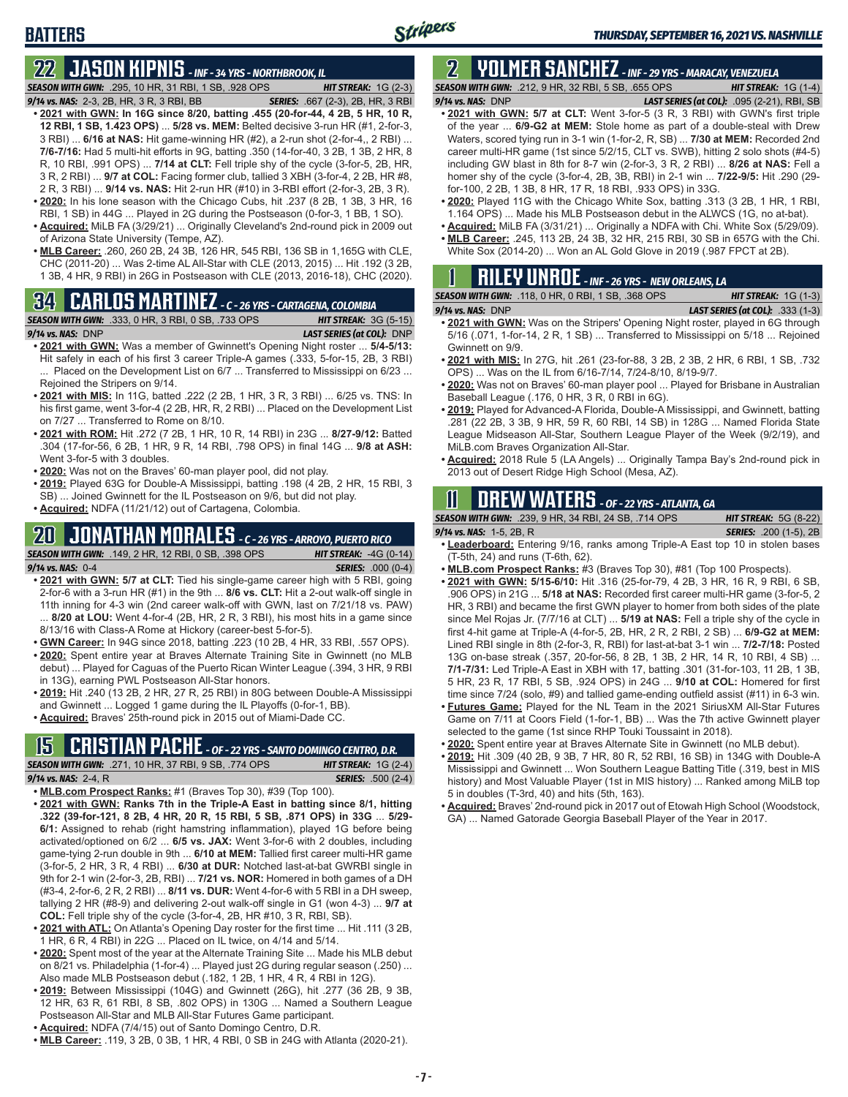# **22 JASON KIPNIS** *- INF - 34 YRS - NORTHBROOK, IL*

*SEASON WITH GWN:*.295, 10 HR, 31 RBI, 1 SB, .928 OPS *HIT STREAK:* 1G (2-3)

**BATTERS**

- *9/14 vs. NAS:*2-3, 2B, HR, 3 R, 3 RBI, BB *SERIES:* .667 (2-3), 2B, HR, 3 RBI **• 2021 with GWN: In 16G since 8/20, batting .455 (20-for-44, 4 2B, 5 HR, 10 R, 12 RBI, 1 SB, 1.423 OPS)** ... **5/28 vs. MEM:** Belted decisive 3-run HR (#1, 2-for-3, 3 RBI) ... **6/16 at NAS:** Hit game-winning HR (#2), a 2-run shot (2-for-4,, 2 RBI) ... **7/6-7/16:** Had 5 multi-hit efforts in 9G, batting .350 (14-for-40, 3 2B, 1 3B, 2 HR, 8 R, 10 RBI, .991 OPS) ... **7/14 at CLT:** Fell triple shy of the cycle (3-for-5, 2B, HR, 3 R, 2 RBI) ... **9/7 at COL:** Facing former club, tallied 3 XBH (3-for-4, 2 2B, HR #8, 2 R, 3 RBI) ... **9/14 vs. NAS:** Hit 2-run HR (#10) in 3-RBI effort (2-for-3, 2B, 3 R). **• 2020:** In his lone season with the Chicago Cubs, hit .237 (8 2B, 1 3B, 3 HR, 16
- RBI, 1 SB) in 44G ... Played in 2G during the Postseason (0-for-3, 1 BB, 1 SO). **• Acquired:** MiLB FA (3/29/21) ... Originally Cleveland's 2nd-round pick in 2009 out
- of Arizona State University (Tempe, AZ).
- **• MLB Career:** .260, 260 2B, 24 3B, 126 HR, 545 RBI, 136 SB in 1,165G with CLE, CHC (2011-20) ... Was 2-time AL All-Star with CLE (2013, 2015) ... Hit .192 (3 2B, 1 3B, 4 HR, 9 RBI) in 26G in Postseason with CLE (2013, 2016-18), CHC (2020).

# **34 CARLOS MARTINEZ** *- C - 26 YRS - CARTAGENA, COLOMBIA*



- **• 2021 with GWN:** Was a member of Gwinnett's Opening Night roster ... **5/4-5/13:** Hit safely in each of his first 3 career Triple-A games (.333, 5-for-15, 2B, 3 RBI) ... Placed on the Development List on 6/7 ... Transferred to Mississippi on 6/23 ... Rejoined the Stripers on 9/14.
- **• 2021 with MIS:** In 11G, batted .222 (2 2B, 1 HR, 3 R, 3 RBI) ... 6/25 vs. TNS: In his first game, went 3-for-4 (2 2B, HR, R, 2 RBI) ... Placed on the Development List on 7/27 ... Transferred to Rome on 8/10.
- **• 2021 with ROM:** Hit .272 (7 2B, 1 HR, 10 R, 14 RBI) in 23G ... **8/27-9/12:** Batted .304 (17-for-56, 6 2B, 1 HR, 9 R, 14 RBI, .798 OPS) in final 14G ... **9/8 at ASH:** Went 3-for-5 with 3 doubles.
- **• 2020:** Was not on the Braves' 60-man player pool, did not play.
- **• 2019:** Played 63G for Double-A Mississippi, batting .198 (4 2B, 2 HR, 15 RBI, 3 SB) ... Joined Gwinnett for the IL Postseason on 9/6, but did not play.
- **• Acquired:** NDFA (11/21/12) out of Cartagena, Colombia.

## **20 JONATHAN MORALES** *- C - 26 YRS - ARROYO, PUERTO RICO*



- **• 2021 with GWN: 5/7 at CLT:** Tied his single-game career high with 5 RBI, going 2-for-6 with a 3-run HR (#1) in the 9th ... **8/6 vs. CLT:** Hit a 2-out walk-off single in 11th inning for 4-3 win (2nd career walk-off with GWN, last on 7/21/18 vs. PAW) ... **8/20 at LOU:** Went 4-for-4 (2B, HR, 2 R, 3 RBI), his most hits in a game since 8/13/16 with Class-A Rome at Hickory (career-best 5-for-5).
- **• GWN Career:** In 94G since 2018, batting .223 (10 2B, 4 HR, 33 RBI, .557 OPS).
- **• 2020:** Spent entire year at Braves Alternate Training Site in Gwinnett (no MLB debut) ... Played for Caguas of the Puerto Rican Winter League (.394, 3 HR, 9 RBI in 13G), earning PWL Postseason All-Star honors.
- **• 2019:** Hit .240 (13 2B, 2 HR, 27 R, 25 RBI) in 80G between Double-A Mississippi and Gwinnett ... Logged 1 game during the IL Playoffs (0-for-1, BB).
- **• Acquired:** Braves' 25th-round pick in 2015 out of Miami-Dade CC.

## **15 CRISTIAN PACHE** *- OF - 22 YRS - SANTO DOMINGO CENTRO, D.R.*

*SEASON WITH GWN:*.271, 10 HR, 37 RBI, 9 SB, .774 OPS *HIT STREAK:* 1G (2-4) *9/14 vs. NAS:* 2-4, R *SERIES:* .500 (2-4)

- **• MLB.com Prospect Ranks:** #1 (Braves Top 30), #39 (Top 100).
- **• 2021 with GWN: Ranks 7th in the Triple-A East in batting since 8/1, hitting .322 (39-for-121, 8 2B, 4 HR, 20 R, 15 RBI, 5 SB, .871 OPS) in 33G** ... **5/29- 6/1:** Assigned to rehab (right hamstring inflammation), played 1G before being activated/optioned on 6/2 ... **6/5 vs. JAX:** Went 3-for-6 with 2 doubles, including game-tying 2-run double in 9th ... **6/10 at MEM:** Tallied first career multi-HR game (3-for-5, 2 HR, 3 R, 4 RBI) ... **6/30 at DUR:** Notched last-at-bat GWRBI single in 9th for 2-1 win (2-for-3, 2B, RBI) ... **7/21 vs. NOR:** Homered in both games of a DH (#3-4, 2-for-6, 2 R, 2 RBI) ... **8/11 vs. DUR:** Went 4-for-6 with 5 RBI in a DH sweep, tallying 2 HR (#8-9) and delivering 2-out walk-off single in G1 (won 4-3) ... **9/7 at COL:** Fell triple shy of the cycle (3-for-4, 2B, HR #10, 3 R, RBI, SB).
- **• 2021 with ATL:** On Atlanta's Opening Day roster for the first time ... Hit .111 (3 2B, 1 HR, 6 R, 4 RBI) in 22G ... Placed on IL twice, on 4/14 and 5/14.
- **• 2020:** Spent most of the year at the Alternate Training Site ... Made his MLB debut on 8/21 vs. Philadelphia (1-for-4) ... Played just 2G during regular season (.250) ... Also made MLB Postseason debut (.182, 1 2B, 1 HR, 4 R, 4 RBI in 12G).
- **• 2019:** Between Mississippi (104G) and Gwinnett (26G), hit .277 (36 2B, 9 3B, 12 HR, 63 R, 61 RBI, 8 SB, .802 OPS) in 130G ... Named a Southern League Postseason All-Star and MLB All-Star Futures Game participant.
- **• Acquired:** NDFA (7/4/15) out of Santo Domingo Centro, D.R.
- **• MLB Career:** .119, 3 2B, 0 3B, 1 HR, 4 RBI, 0 SB in 24G with Atlanta (2020-21).

### **2 YOLMER SANCHEZ** *- INF - 29 YRS - MARACAY, VENEZUELA SEASON WITH GWN:*.212, 9 HR, 32 RBI, 5 SB, .655 OPS *HIT STREAK:* 1G (1-4)

*9/14 vs. NAS:*DNP *LAST SERIES (at COL):* .095 (2-21), RBI, SB

- **• 2021 with GWN: 5/7 at CLT:** Went 3-for-5 (3 R, 3 RBI) with GWN's first triple of the year ... **6/9-G2 at MEM:** Stole home as part of a double-steal with Drew Waters, scored tying run in 3-1 win (1-for-2, R, SB) ... **7/30 at MEM:** Recorded 2nd career multi-HR game (1st since 5/2/15, CLT vs. SWB), hitting 2 solo shots (#4-5) including GW blast in 8th for 8-7 win (2-for-3, 3 R, 2 RBI) ... **8/26 at NAS:** Fell a homer shy of the cycle (3-for-4, 2B, 3B, RBI) in 2-1 win ... **7/22-9/5:** Hit .290 (29 for-100, 2 2B, 1 3B, 8 HR, 17 R, 18 RBI, .933 OPS) in 33G.
- **• 2020:** Played 11G with the Chicago White Sox, batting .313 (3 2B, 1 HR, 1 RBI, 1.164 OPS) ... Made his MLB Postseason debut in the ALWCS (1G, no at-bat).
- **• Acquired:** MiLB FA (3/31/21) ... Originally a NDFA with Chi. White Sox (5/29/09). **• MLB Career:** .245, 113 2B, 24 3B, 32 HR, 215 RBI, 30 SB in 657G with the Chi. White Sox (2014-20) ... Won an AL Gold Glove in 2019 (.987 FPCT at 2B).

|  |  | <b>RILEY UNROE</b> - INF - 26 YRS - NEW ORLEANS, LA |  |
|--|--|-----------------------------------------------------|--|
|  |  |                                                     |  |

| <b>SEASON WITH GWN: .118, 0 HR, 0 RBI, 1 SB, .368 OPS</b> | <b>HIT STREAK:</b> $1G(1-3)$            |
|-----------------------------------------------------------|-----------------------------------------|
| $9/14$ vs. NAS: DNP                                       | <b>LAST SERIES (at COL):</b> .333 (1-3) |

- **• 2021 with GWN:** Was on the Stripers' Opening Night roster, played in 6G through 5/16 (.071, 1-for-14, 2 R, 1 SB) ... Transferred to Mississippi on 5/18 ... Rejoined Gwinnett on 9/9.
- **• 2021 with MIS:** In 27G, hit .261 (23-for-88, 3 2B, 2 3B, 2 HR, 6 RBI, 1 SB, .732 OPS) ... Was on the IL from 6/16-7/14, 7/24-8/10, 8/19-9/7.
- **• 2020:** Was not on Braves' 60-man player pool ... Played for Brisbane in Australian Baseball League (.176, 0 HR, 3 R, 0 RBI in 6G).
- **• 2019:** Played for Advanced-A Florida, Double-A Mississippi, and Gwinnett, batting .281 (22 2B, 3 3B, 9 HR, 59 R, 60 RBI, 14 SB) in 128G ... Named Florida State League Midseason All-Star, Southern League Player of the Week (9/2/19), and MiLB.com Braves Organization All-Star.
- **• Acquired:** 2018 Rule 5 (LA Angels) ... Originally Tampa Bay's 2nd-round pick in 2013 out of Desert Ridge High School (Mesa, AZ).

# **11 Drew WATERS** *- OF - 22 YRS - ATLANTA, GA*

*SEASON WITH GWN:*.239, 9 HR, 34 RBI, 24 SB, .714 OPS *HIT STREAK:* 5G (8-22)

*9/14 vs. NAS:*1-5, 2B, R *SERIES:* .200 (1-5), 2B

- **• Leaderboard:** Entering 9/16, ranks among Triple-A East top 10 in stolen bases (T-5th, 24) and runs (T-6th, 62).
- **• MLB.com Prospect Ranks:** #3 (Braves Top 30), #81 (Top 100 Prospects).
- **• 2021 with GWN: 5/15-6/10:** Hit .316 (25-for-79, 4 2B, 3 HR, 16 R, 9 RBI, 6 SB, .906 OPS) in 21G ... **5/18 at NAS:** Recorded first career multi-HR game (3-for-5, 2 HR, 3 RBI) and became the first GWN player to homer from both sides of the plate since Mel Rojas Jr. (7/7/16 at CLT) ... **5/19 at NAS:** Fell a triple shy of the cycle in first 4-hit game at Triple-A (4-for-5, 2B, HR, 2 R, 2 RBI, 2 SB) ... **6/9-G2 at MEM:** Lined RBI single in 8th (2-for-3, R, RBI) for last-at-bat 3-1 win ... **7/2-7/18:** Posted 13G on-base streak (.357, 20-for-56, 8 2B, 1 3B, 2 HR, 14 R, 10 RBI, 4 SB) ... **7/1-7/31:** Led Triple-A East in XBH with 17, batting .301 (31-for-103, 11 2B, 1 3B, 5 HR, 23 R, 17 RBI, 5 SB, .924 OPS) in 24G ... **9/10 at COL:** Homered for first time since 7/24 (solo, #9) and tallied game-ending outfield assist (#11) in 6-3 win.
- **• Futures Game:** Played for the NL Team in the 2021 SiriusXM All-Star Futures Game on 7/11 at Coors Field (1-for-1, BB) ... Was the 7th active Gwinnett player selected to the game (1st since RHP Touki Toussaint in 2018).
- **• 2020:** Spent entire year at Braves Alternate Site in Gwinnett (no MLB debut).
- **• 2019:** Hit .309 (40 2B, 9 3B, 7 HR, 80 R, 52 RBI, 16 SB) in 134G with Double-A Mississippi and Gwinnett ... Won Southern League Batting Title (.319, best in MIS history) and Most Valuable Player (1st in MIS history) ... Ranked among MiLB top 5 in doubles (T-3rd, 40) and hits (5th, 163).
- **• Acquired:** Braves' 2nd-round pick in 2017 out of Etowah High School (Woodstock, GA) ... Named Gatorade Georgia Baseball Player of the Year in 2017.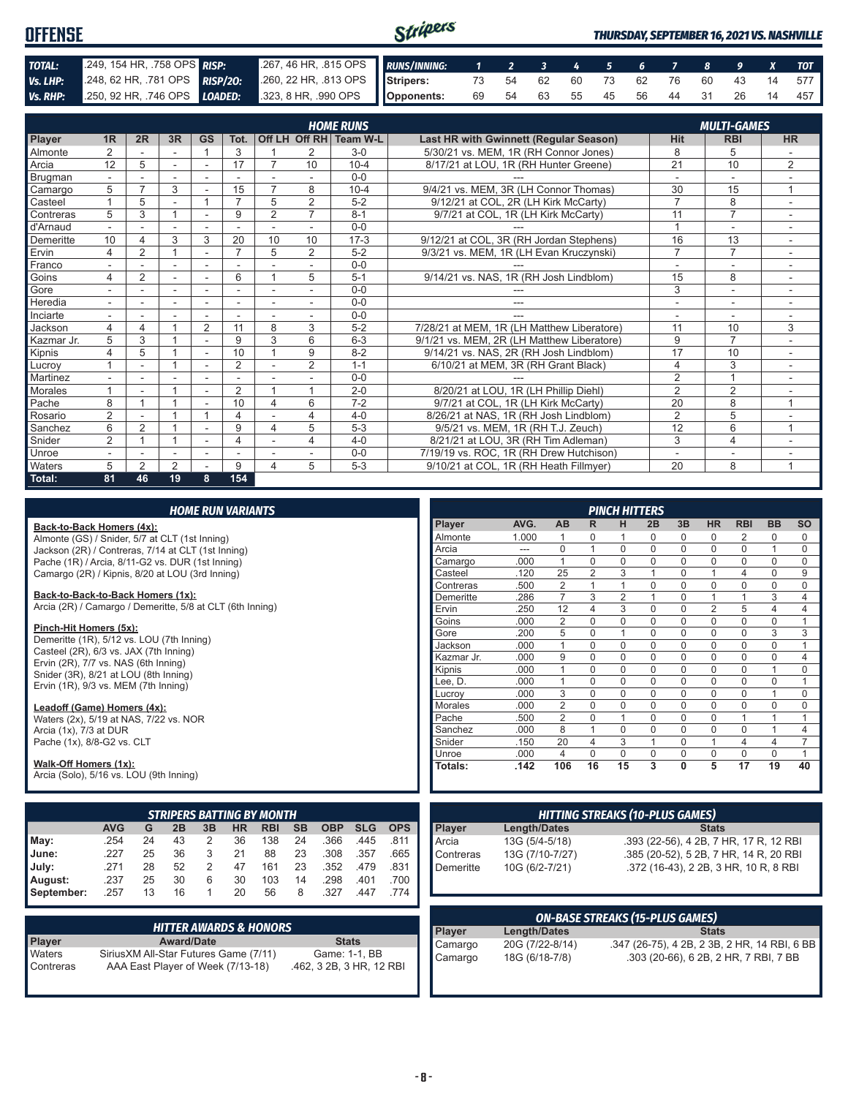| <b>OFFENSE</b> |                            |                                                                                              | Stripers |  |  |  |  |  | <b>THURSDAY, SEPTEMBER 16, 2021 VS. NASHVILLE</b> |
|----------------|----------------------------|----------------------------------------------------------------------------------------------|----------|--|--|--|--|--|---------------------------------------------------|
| TOTAL:         | 249, 154 HR, 758 OPS RISP: | 267, 46 HR, 315 OPS RUNS/INNING: 1 2 3 4 5 6 7 8 9 X TOT                                     |          |  |  |  |  |  |                                                   |
| Vs. LHP:       |                            | 248, 62 HR, 781 OPS RISP/20: 260, 22 HR, 813 OPS Stripers: 73 54 62 60 73 62 76 60 43 14 577 |          |  |  |  |  |  |                                                   |
|                |                            | Vs. RHP: 250, 92 HR, 746 OPS LOADED: 323, 8 HR, 990 OPS   Opponents:                         |          |  |  |  |  |  | 69 54 63 55 45 56 44 31 26 14 457                 |

|                |                |                |        |                |                |                          |                | <b>HOME RUNS</b>       |                                               |                | <b>MULTI-GAMES</b> |                          |
|----------------|----------------|----------------|--------|----------------|----------------|--------------------------|----------------|------------------------|-----------------------------------------------|----------------|--------------------|--------------------------|
| Player         | 1 <sub>R</sub> | 2R             | 3R     | <b>GS</b>      | Tot.           |                          |                | Off LH Off RH Team W-L | <b>Last HR with Gwinnett (Regular Season)</b> | Hit            | <b>RBI</b>         | <b>HR</b>                |
| Almonte        | $\overline{2}$ |                |        |                | 3              |                          | 2              | $3-0$                  | 5/30/21 vs. MEM. 1R (RH Connor Jones)         | 8              | 5                  |                          |
| Arcia          | 12             | 5              |        | $\blacksquare$ | 17             |                          | 10             | $10 - 4$               | 8/17/21 at LOU, 1R (RH Hunter Greene)         | 21             | 10                 | $\overline{2}$           |
| <b>Brugman</b> |                |                |        |                |                |                          |                | $0 - 0$                |                                               |                |                    |                          |
| Camargo        | 5              |                | 3      |                | 15             |                          | 8              | $10 - 4$               | 9/4/21 vs. MEM, 3R (LH Connor Thomas)         | 30             | 15                 | $\overline{A}$           |
| Casteel        |                | 5              |        |                | $\overline{ }$ | 5                        | $\overline{2}$ | $5 - 2$                | 9/12/21 at COL, 2R (LH Kirk McCarty)          | $\overline{7}$ | 8                  |                          |
| Contreras      | 5              | 3              |        |                | 9              | $\overline{2}$           | $\overline{7}$ | $8 - 1$                | 9/7/21 at COL, 1R (LH Kirk McCarty)           | 11             | $\overline{7}$     |                          |
| d'Arnaud       |                |                |        |                |                |                          |                | $0 - 0$                |                                               | $\overline{ }$ | ٠                  |                          |
| Demeritte      | 10             | 4              | 3      | 3              | 20             | 10                       | 10             | $17-3$                 | 9/12/21 at COL, 3R (RH Jordan Stephens)       | 16             | 13                 | $\sim$                   |
| Ervin          | 4              | $\overline{2}$ |        | ۳              | $\overline{ }$ | 5                        | $\overline{2}$ | $5 - 2$                | 9/3/21 vs. MEM, 1R (LH Evan Kruczynski)       | $\overline{7}$ | $\overline{7}$     |                          |
| Franco         | ٠              |                | $\sim$ | ٠              |                |                          | -              | $0 - 0$                |                                               | ٠              | ۰                  | $\sim$                   |
| Goins          | 4              | $\overline{2}$ |        |                | 6              |                          | 5              | $5 - 1$                | 9/14/21 vs. NAS, 1R (RH Josh Lindblom)        | 15             | 8                  |                          |
| Gore           |                |                |        |                |                |                          |                | $0 - 0$                | ---                                           | 3              | ÷.                 | $\sim$                   |
| Heredia        | $\sim$         |                |        |                |                | ۰                        | <u>. .</u>     | $0 - 0$                | ---                                           | ٠              | ÷                  |                          |
| Inciarte       | ٠              |                |        | ä,             |                | $\overline{\phantom{a}}$ | -              | $0 - 0$                |                                               |                | ٠                  | $\sim$                   |
| Jackson        | 4              | 4              |        | 2              | 11             | 8                        | 3              | $5 - 2$                | 7/28/21 at MEM, 1R (LH Matthew Liberatore)    | 11             | 10                 | 3                        |
| Kazmar Jr.     | 5              | 3              |        | ٠              | 9              | 3                        | 6              | $6 - 3$                | 9/1/21 vs. MEM, 2R (LH Matthew Liberatore)    | 9              | $\overline{7}$     | $\sim$                   |
| Kipnis         | 4              | 5              |        | ÷              | 10             |                          | 9              | $8 - 2$                | 9/14/21 vs. NAS, 2R (RH Josh Lindblom)        | 17             | 10                 |                          |
| Lucrov         |                |                |        | ٠              | 2              |                          | $\overline{2}$ | $1 - 1$                | 6/10/21 at MEM, 3R (RH Grant Black)           | $\overline{4}$ | 3                  | $\overline{\phantom{a}}$ |
| Martinez       |                |                |        |                |                |                          |                | $0 - 0$                |                                               | 2              | $\overline{1}$     |                          |
| <b>Morales</b> |                |                |        | ٠              | 2              |                          | 4              | $2 - 0$                | 8/20/21 at LOU, 1R (LH Phillip Diehl)         | $\overline{2}$ | 2                  |                          |
| Pache          | 8              |                |        |                | 10             | $\overline{4}$           | 6              | $7 - 2$                | 9/7/21 at COL, 1R (LH Kirk McCarty)           | 20             | 8                  | $\overline{A}$           |
| Rosario        | $\overline{2}$ |                |        |                | $\overline{4}$ |                          | 4              | $4 - 0$                | 8/26/21 at NAS, 1R (RH Josh Lindblom)         | $\overline{2}$ | 5                  |                          |
| Sanchez        | 6              | $\overline{2}$ |        |                | 9              | $\overline{\mathbf{4}}$  | 5              | $5 - 3$                | 9/5/21 vs. MEM, 1R (RH T.J. Zeuch)            | 12             | 6                  | $\mathbf{1}$             |
| Snider         | 2              |                |        | ۰              |                |                          | 4              | $4 - 0$                | 8/21/21 at LOU, 3R (RH Tim Adleman)           | 3              | $\overline{4}$     |                          |
| Unroe          |                |                |        |                |                |                          |                | $0 - 0$                | 7/19/19 vs. ROC. 1R (RH Drew Hutchison)       | ٠              | ۰                  |                          |
| Waters         | 5              | $\overline{2}$ | 2      |                | 9              | 4                        | 5              | $5 - 3$                | 9/10/21 at COL, 1R (RH Heath Fillmyer)        | 20             | 8                  | 1                        |
| Total:         | 81             | 46             | 19     | 8              | 154            |                          |                |                        |                                               |                |                    |                          |

|                                                                     |                                                  |    |    |    | <b>HOME RUN VARIANTS</b> |                                   |           |                                                                                        |            |            |                 |                                     |                                        |                                              | <b>PINCH HITTERS</b> |                |              |                |                                        |                     |                |
|---------------------------------------------------------------------|--------------------------------------------------|----|----|----|--------------------------|-----------------------------------|-----------|----------------------------------------------------------------------------------------|------------|------------|-----------------|-------------------------------------|----------------------------------------|----------------------------------------------|----------------------|----------------|--------------|----------------|----------------------------------------|---------------------|----------------|
| Back-to-Back Homers (4x):                                           |                                                  |    |    |    |                          |                                   |           |                                                                                        |            |            | Player          | AVG.                                | AB                                     | R                                            | н                    | 2B             | 3B           | <b>HR</b>      | <b>RBI</b>                             | <b>BB</b>           | <b>SO</b>      |
| Almonte (GS) / Snider, 5/7 at CLT (1st Inning)                      |                                                  |    |    |    |                          |                                   |           |                                                                                        |            |            | Almonte         | 1.000                               |                                        | 0                                            |                      | 0              | 0            | 0              | 2                                      | 0                   | $\Omega$       |
| Jackson (2R) / Contreras, 7/14 at CLT (1st Inning)                  |                                                  |    |    |    |                          |                                   |           |                                                                                        |            |            | Arcia           | ---                                 | $\mathbf 0$                            | $\mathbf{1}$                                 | $\mathbf 0$          | $\mathbf 0$    | $\mathbf 0$  | $\mathbf 0$    | $\mathbf 0$                            | 1                   | $\Omega$       |
|                                                                     | Pache (1R) / Arcia, 8/11-G2 vs. DUR (1st Inning) |    |    |    |                          |                                   |           |                                                                                        |            |            | Camargo         | .000                                | $\mathbf{1}$                           | 0                                            | $\mathbf 0$          | $\mathbf 0$    | $\mathbf 0$  | $\mathbf 0$    | $\mathbf 0$                            | $\mathbf 0$         | 0              |
|                                                                     | Camargo (2R) / Kipnis, 8/20 at LOU (3rd Inning)  |    |    |    |                          |                                   |           |                                                                                        |            |            | Casteel         | .120                                | 25                                     | $\overline{2}$                               | 3                    | $\overline{1}$ | $\mathbf 0$  | $\mathbf{1}$   | $\overline{4}$                         | $\mathbf 0$         | 9              |
|                                                                     |                                                  |    |    |    |                          |                                   |           |                                                                                        |            |            | Contreras       | .500                                | $\overline{2}$                         | $\mathbf{1}$                                 | $\mathbf{1}$         | $\mathbf 0$    | $\mathbf 0$  | $\mathbf 0$    | $\mathbf 0$                            | $\mathbf 0$         | $\Omega$       |
| Back-to-Back-to-Back Homers (1x):                                   |                                                  |    |    |    |                          |                                   |           |                                                                                        |            |            | Demeritte       | .286                                | $\overline{7}$                         | 3                                            | 2                    | 1              | $\mathbf 0$  | $\mathbf{1}$   |                                        | 3                   | 4              |
| Arcia (2R) / Camargo / Demeritte, 5/8 at CLT (6th Inning)           |                                                  |    |    |    |                          |                                   |           |                                                                                        |            |            | Ervin           | .250                                | 12                                     | 4                                            | 3                    | $\mathbf 0$    | $\mathbf 0$  | $\overline{2}$ | 5                                      | $\overline{4}$      | 4              |
|                                                                     |                                                  |    |    |    |                          |                                   |           |                                                                                        |            |            | Goins           | .000                                | $\overline{2}$                         | $\Omega$                                     | 0                    | $\mathbf 0$    | $\mathbf 0$  | $\mathbf 0$    | $\mathbf 0$                            | $\mathbf 0$         | $\mathbf{1}$   |
| Pinch-Hit Homers (5x):<br>Demeritte (1R), 5/12 vs. LOU (7th Inning) |                                                  |    |    |    |                          |                                   |           |                                                                                        |            |            | Gore            | .200                                | 5                                      | $\Omega$                                     | $\mathbf{1}$         | $\mathbf 0$    | $\mathbf 0$  | $\mathbf 0$    | $\mathbf 0$                            | 3                   | 3              |
| Casteel (2R), 6/3 vs. JAX (7th Inning)                              |                                                  |    |    |    |                          |                                   |           |                                                                                        |            |            | Jackson         | .000                                | $\mathbf{1}$                           | 0                                            | $\mathbf 0$          | $\mathbf 0$    | $\mathbf 0$  | $\mathbf 0$    | $\mathbf 0$                            | $\mathbf 0$         | $\mathbf{1}$   |
| Ervin (2R), 7/7 vs. NAS (6th Inning)                                |                                                  |    |    |    |                          |                                   |           |                                                                                        |            |            | Kazmar Jr.      | .000                                | 9                                      | 0                                            | $\mathbf 0$          | $\mathbf 0$    | $\mathbf 0$  | $\mathbf 0$    | $\mathbf 0$                            | $\mathbf 0$         | 4              |
| Snider (3R), 8/21 at LOU (8th Inning)                               |                                                  |    |    |    |                          |                                   |           |                                                                                        |            |            | Kipnis          | .000                                | 1                                      | 0                                            | 0                    | $\mathbf 0$    | $\mathsf 0$  | $\mathbf 0$    | $\mathbf 0$                            | $\mathbf{1}$        | 0              |
| Ervin (1R), 9/3 vs. MEM (7th Inning)                                |                                                  |    |    |    |                          |                                   |           |                                                                                        |            |            | Lee. D.         | .000                                | $\mathbf{1}$                           | 0                                            | 0                    | $\mathbf 0$    | $\mathbf 0$  | $\mathbf 0$    | $\mathbf 0$                            | $\mathbf 0$         | 1              |
|                                                                     |                                                  |    |    |    |                          |                                   |           |                                                                                        |            |            | Lucrov          | .000                                | 3                                      | 0                                            | $\mathbf 0$          | $\mathbf 0$    | $\mathbf 0$  | $\mathbf 0$    | $\mathbf 0$                            | $\mathbf{1}$        | 0              |
| Leadoff (Game) Homers (4x):                                         |                                                  |    |    |    |                          |                                   |           |                                                                                        |            |            | <b>Morales</b>  | .000                                | $\overline{2}$                         | $\mathbf 0$                                  | $\mathbf 0$          | $\mathbf 0$    | $\mathbf 0$  | $\mathbf 0$    | $\mathbf 0$                            | $\mathbf 0$         | 0              |
| Waters (2x), 5/19 at NAS, 7/22 vs. NOR                              |                                                  |    |    |    |                          |                                   |           |                                                                                        |            |            | Pache           | .500                                | $\overline{2}$                         | $\Omega$                                     | 1                    | $\mathbf 0$    | $\mathbf 0$  | $\mathbf 0$    |                                        | $\mathbf{1}$        |                |
| Arcia (1x), 7/3 at DUR                                              |                                                  |    |    |    |                          |                                   |           |                                                                                        |            |            | Sanchez         | .000                                | 8                                      | $\mathbf{1}$                                 | 0                    | $\mathbf 0$    | $\mathbf 0$  | $\mathbf 0$    | 0                                      | $\mathbf{1}$        | 4              |
| Pache (1x), 8/8-G2 vs. CLT                                          |                                                  |    |    |    |                          |                                   |           |                                                                                        |            |            | Snider          | .150                                | 20                                     | 4                                            | 3                    | $\overline{1}$ | $\mathbf 0$  | $\mathbf{1}$   | $\overline{4}$                         | $\overline{4}$      | $\overline{7}$ |
|                                                                     |                                                  |    |    |    |                          |                                   |           |                                                                                        |            |            | Unroe           | .000                                | $\overline{4}$                         | $\overline{0}$                               | $\mathbf 0$          | $\mathbf 0$    | $\mathbf 0$  | $\mathbf 0$    | $\mathbf 0$                            | $\mathsf{O}\xspace$ | $\mathbf{1}$   |
| Walk-Off Homers (1x):<br>Arcia (Solo), 5/16 vs. LOU (9th Inning)    |                                                  |    |    |    |                          |                                   |           |                                                                                        |            |            | Totals:         | .142                                | 106                                    | 16                                           | 15                   | 3              | $\mathbf{0}$ | 5              | 17                                     | 19                  | 40             |
|                                                                     |                                                  |    |    |    |                          | <b>STRIPERS BATTING BY MONTH</b>  |           |                                                                                        |            |            |                 |                                     | <b>HITTING STREAKS (10-PLUS GAMES)</b> |                                              |                      |                |              |                |                                        |                     |                |
|                                                                     | <b>AVG</b>                                       | G  | 2B | 3B | <b>HR</b>                | <b>RBI</b>                        | <b>SB</b> | <b>OBP</b>                                                                             | <b>SLG</b> | <b>OPS</b> | <b>Player</b>   | <b>Length/Dates</b>                 |                                        |                                              |                      |                |              | <b>Stats</b>   |                                        |                     |                |
| May:                                                                | .254                                             | 24 | 43 | 2  | 36                       | 138                               | 24        | .366                                                                                   | .445       | .811       | Arcia           | 13G (5/4-5/18)                      |                                        |                                              |                      |                |              |                | .393 (22-56), 4 2B, 7 HR, 17 R, 12 RBI |                     |                |
| June:                                                               | .227                                             | 25 | 36 | 3  | 21                       | 88                                | 23        | .308                                                                                   | .357       | .665       | Contreras       | 13G (7/10-7/27)                     |                                        |                                              |                      |                |              |                | .385 (20-52), 5 2B, 7 HR, 14 R, 20 RBI |                     |                |
| July:                                                               | .271                                             | 28 | 52 | 2  | 47                       | 161                               | 23        | .352                                                                                   | .479       | .831       | Demeritte       | 10G (6/2-7/21)                      |                                        |                                              |                      |                |              |                | .372 (16-43), 2 2B, 3 HR, 10 R, 8 RBI  |                     |                |
|                                                                     | .237                                             | 25 | 30 | 6  | 30                       | 103                               | 14        | .298                                                                                   | .401       | .700       |                 |                                     |                                        |                                              |                      |                |              |                |                                        |                     |                |
| August:                                                             |                                                  |    |    |    |                          |                                   |           |                                                                                        |            |            |                 |                                     |                                        |                                              |                      |                |              |                |                                        |                     |                |
| September:                                                          | .257                                             | 13 | 16 | 1  | 20                       | 56                                | 8         | .327                                                                                   | .447       | .774       |                 |                                     |                                        |                                              |                      |                |              |                |                                        |                     |                |
|                                                                     |                                                  |    |    |    |                          |                                   |           |                                                                                        |            |            |                 |                                     | <b>ON-BASE STREAKS (15-PLUS GAMES)</b> |                                              |                      |                |              |                |                                        |                     |                |
|                                                                     |                                                  |    |    |    |                          | <b>HITTER AWARDS &amp; HONORS</b> |           |                                                                                        |            |            | Player          | <b>Stats</b><br><b>Length/Dates</b> |                                        |                                              |                      |                |              |                |                                        |                     |                |
| Player                                                              | <b>Award/Date</b><br><b>Stats</b>                |    |    |    |                          |                                   |           |                                                                                        |            | Camargo    | 20G (7/22-8/14) |                                     |                                        | .347 (26-75), 4 2B, 2 3B, 2 HR, 14 RBI, 6 BB |                      |                |              |                |                                        |                     |                |
| Waters                                                              | Sirius XM All-Star Futures Game (7/11)           |    |    |    |                          |                                   |           | Game: 1-1, BB                                                                          |            |            | Camargo         | 18G (6/18-7/8)                      |                                        |                                              |                      |                |              |                | .303 (20-66), 6 2B, 2 HR, 7 RBI, 7 BB  |                     |                |
| $\sim$ $\sim$                                                       |                                                  |    |    |    |                          |                                   |           | $1.11 E$ $1.01 E$ $1.11 E$ $1.11 E$ $1.01 E$ $1.00 E$ $1.00 E$ $1.0 E$ $1.0 E$ $1.0 E$ |            |            |                 |                                     |                                        |                                              |                      |                |              |                |                                        |                     |                |

Contreras AAA East Player of Week (7/13-18) .462, 3 2B, 3 HR, 12 RBI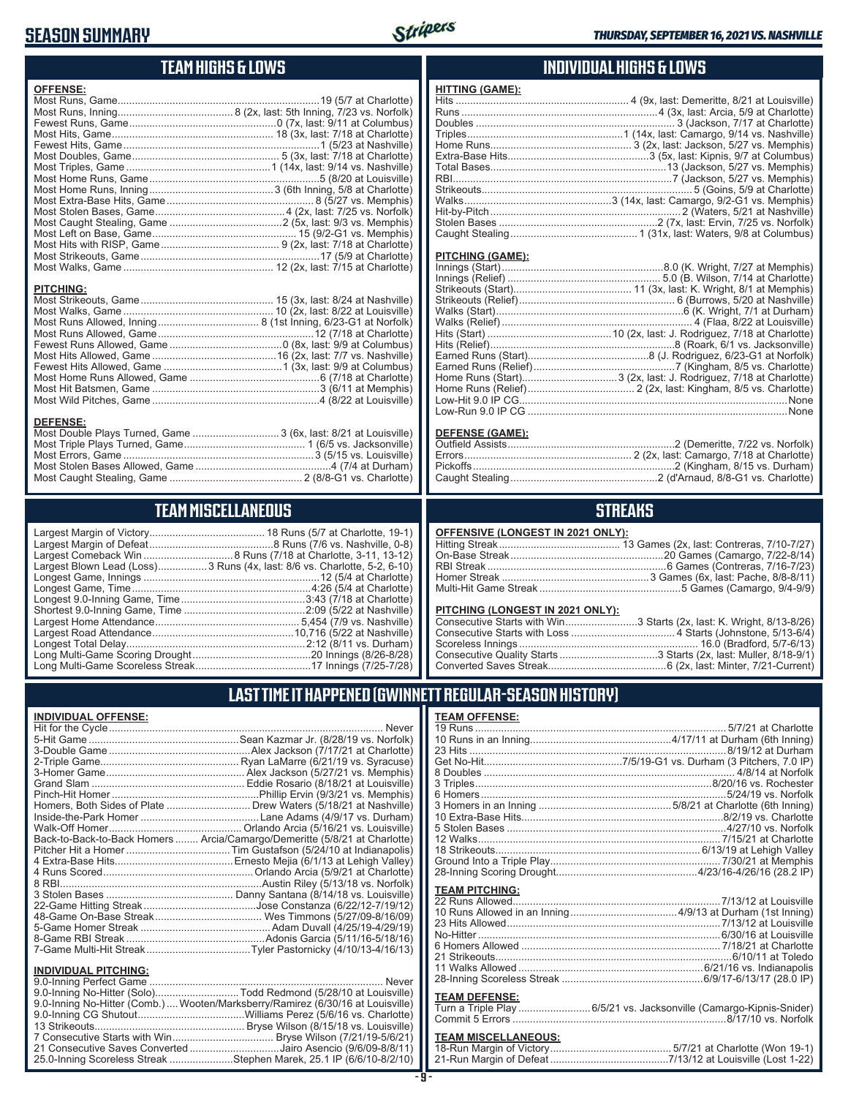## **SEASON SUMMARY**



## **TEAM HIGHS & LOWS**

| <b>OFFENSE:</b>                                                                                         |  |
|---------------------------------------------------------------------------------------------------------|--|
| <b>PITCHING:</b><br><b>DEFENSE:</b><br>Most Double Plays Turned, Game  3 (6x, last: 8/21 at Louisville) |  |
|                                                                                                         |  |

Most Stolen Bases Allowed, Game ...............................................4 (7/4 at Durham) Most Caught Stealing, Game .............................................. 2 (8/8-G1 vs. Charlotte)

## **TEAM MISCELLANEOUS**

| Largest Blown Lead (Loss)3 Runs (4x, last: 8/6 vs. Charlotte, 5-2, 6-10) |
|--------------------------------------------------------------------------|
|                                                                          |
|                                                                          |
|                                                                          |
|                                                                          |
|                                                                          |
|                                                                          |
|                                                                          |
|                                                                          |
|                                                                          |

### **INDIVIDUAL HIGHS & LOWS**

| <b>HITTING (GAME):</b> |  |
|------------------------|--|
|                        |  |
|                        |  |
|                        |  |
|                        |  |
|                        |  |
|                        |  |
|                        |  |
|                        |  |
|                        |  |
|                        |  |
|                        |  |
|                        |  |
|                        |  |
|                        |  |

#### **PITCHING (GAME):**

#### **DEFENSE (GAME):**

## **STREAKS**

#### **OFFENSIVE (LONGEST IN 2021 ONLY):**

#### **PITCHING (LONGEST IN 2021 ONLY):**

| Consecutive Starts with Win3 Starts (2x, last: K. Wright, 8/13-8/26) |
|----------------------------------------------------------------------|
|                                                                      |
|                                                                      |
|                                                                      |
|                                                                      |

## **LAST TIME IT HAPPENED (GWINNETT REGULAR-SEASON HISTORY)**

#### **INDIVIDUAL OFFENSE:**

|                                                        | Homers, Both Sides of Plate  Drew Waters (5/18/21 at Nashville)            |
|--------------------------------------------------------|----------------------------------------------------------------------------|
|                                                        |                                                                            |
|                                                        |                                                                            |
|                                                        | Back-to-Back-to-Back Homers  Arcia/Camargo/Demeritte (5/8/21 at Charlotte) |
|                                                        |                                                                            |
|                                                        |                                                                            |
|                                                        |                                                                            |
|                                                        |                                                                            |
|                                                        |                                                                            |
|                                                        |                                                                            |
|                                                        |                                                                            |
|                                                        |                                                                            |
|                                                        |                                                                            |
|                                                        |                                                                            |
|                                                        |                                                                            |
| <b>INDIVIDUAL PITCHING:</b><br>0.0 Inning Porfoot Camo | Novor                                                                      |
|                                                        |                                                                            |

| 9.0-Inning No-Hitter (Solo)Todd Redmond (5/28/10 at Louisville)                 |  |
|---------------------------------------------------------------------------------|--|
| 9.0-Inning No-Hitter (Comb.)  Wooten/Marksberry/Ramirez (6/30/16 at Louisville) |  |
|                                                                                 |  |
|                                                                                 |  |
|                                                                                 |  |
| 21 Consecutive Saves Converted Jairo Asencio (9/6/09-8/8/11)                    |  |
| 25.0-Inning Scoreless Streak Stephen Marek, 25.1 IP (6/6/10-8/2/10)             |  |
|                                                                                 |  |

#### **TEAM OFFENSE:**

| <b>TEAM PITCHING:</b> |                                                                                                                                                                                                                                |
|-----------------------|--------------------------------------------------------------------------------------------------------------------------------------------------------------------------------------------------------------------------------|
|                       |                                                                                                                                                                                                                                |
|                       |                                                                                                                                                                                                                                |
|                       |                                                                                                                                                                                                                                |
|                       |                                                                                                                                                                                                                                |
|                       |                                                                                                                                                                                                                                |
|                       |                                                                                                                                                                                                                                |
|                       |                                                                                                                                                                                                                                |
|                       |                                                                                                                                                                                                                                |
| <b>TEAM DEFENSE:</b>  |                                                                                                                                                                                                                                |
|                       | المستحدث والمحامل المعامل المتعارض والمستشفر والمستشفر والمستنقص والمستنقص والمستنقص والمستنقص والمستنقص والمستنقص والمستنقص والمستنقص والمستنقص والمستنقص والمستنقص والمستنقص والمستنقص والمستنقص والمستنقص والمستنقص والمستن |

#### Turn a Triple Play .........................6/5/21 vs. Jacksonville (Camargo-Kipnis-Snider) Commit 5 Errors ..........................................................................8/17/10 vs. Norfolk

## **TEAM MISCELLANEOUS:**<br>18-Run Margin of Victory.....

| 21-Run Margin of Defeat…………………………………7/13/12 at Louisville (Lost 1-22) |
|-----------------------------------------------------------------------|